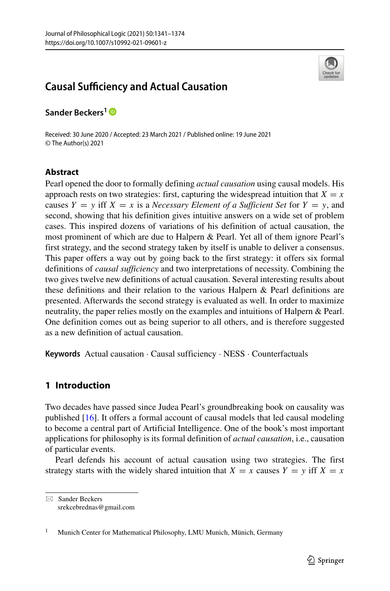

# **Causal Sufficiency and Actual Causation**

**Sander Beckers1**

Received: 30 June 2020 / Accepted: 23 March 2021 / Published online: 19 June 2021 © The Author(s) 2021

# **Abstract**

Pearl opened the door to formally defining *actual causation* using causal models. His approach rests on two strategies: first, capturing the widespread intuition that  $X = x$ causes  $Y = y$  iff  $X = x$  is a *Necessary Element of a Sufficient Set* for  $Y = y$ , and second, showing that his definition gives intuitive answers on a wide set of problem cases. This inspired dozens of variations of his definition of actual causation, the most prominent of which are due to Halpern & Pearl. Yet all of them ignore Pearl's first strategy, and the second strategy taken by itself is unable to deliver a consensus. This paper offers a way out by going back to the first strategy: it offers six formal definitions of *causal sufficiency* and two interpretations of necessity. Combining the two gives twelve new definitions of actual causation. Several interesting results about these definitions and their relation to the various Halpern & Pearl definitions are presented. Afterwards the second strategy is evaluated as well. In order to maximize neutrality, the paper relies mostly on the examples and intuitions of Halpern & Pearl. One definition comes out as being superior to all others, and is therefore suggested as a new definition of actual causation.

**Keywords** Actual causation · Causal sufficiency · NESS · Counterfactuals

# **1 Introduction**

Two decades have passed since Judea Pearl's groundbreaking book on causality was published [\[16\]](#page-33-0). It offers a formal account of causal models that led causal modeling to become a central part of Artificial Intelligence. One of the book's most important applications for philosophy is its formal definition of *actual causation*, i.e., causation of particular events.

Pearl defends his account of actual causation using two strategies. The first strategy starts with the widely shared intuition that  $X = x$  causes  $Y = y$  iff  $X = x$ 

<sup>-</sup> Sander Beckers [srekcebrednas@gmail.com](mailto: srekcebrednas@gmail.com)

<sup>&</sup>lt;sup>1</sup> Munich Center for Mathematical Philosophy, LMU Munich, Münich, Germany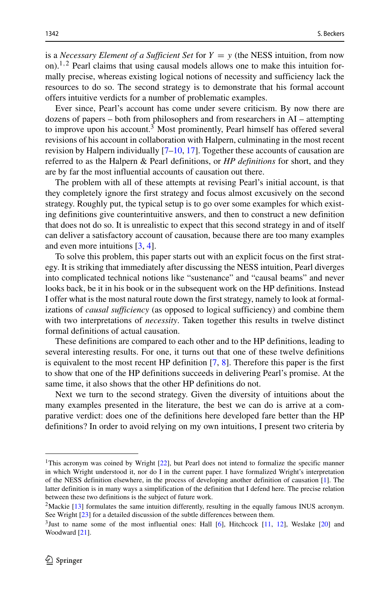is a *Necessary Element of a Sufficient Set* for  $Y = y$  (the NESS intuition, from now on)[.1](#page-1-0)*,*[2](#page-1-1) Pearl claims that using causal models allows one to make this intuition formally precise, whereas existing logical notions of necessity and sufficiency lack the resources to do so. The second strategy is to demonstrate that his formal account offers intuitive verdicts for a number of problematic examples.

Ever since, Pearl's account has come under severe criticism. By now there are dozens of papers – both from philosophers and from researchers in AI – attempting to improve upon his account.<sup>[3](#page-1-2)</sup> Most prominently, Pearl himself has offered several revisions of his account in collaboration with Halpern, culminating in the most recent revision by Halpern individually [\[7](#page-32-0)[–10,](#page-32-1) [17\]](#page-33-1). Together these accounts of causation are referred to as the Halpern & Pearl definitions, or *HP definitions* for short, and they are by far the most influential accounts of causation out there.

The problem with all of these attempts at revising Pearl's initial account, is that they completely ignore the first strategy and focus almost excusively on the second strategy. Roughly put, the typical setup is to go over some examples for which existing definitions give counterintuitive answers, and then to construct a new definition that does not do so. It is unrealistic to expect that this second strategy in and of itself can deliver a satisfactory account of causation, because there are too many examples and even more intuitions [\[3,](#page-32-2) [4\]](#page-32-3).

To solve this problem, this paper starts out with an explicit focus on the first strategy. It is striking that immediately after discussing the NESS intuition, Pearl diverges into complicated technical notions like "sustenance" and "causal beams" and never looks back, be it in his book or in the subsequent work on the HP definitions. Instead I offer what is the most natural route down the first strategy, namely to look at formalizations of *causal sufficiency* (as opposed to logical sufficiency) and combine them with two interpretations of *necessity*. Taken together this results in twelve distinct formal definitions of actual causation.

These definitions are compared to each other and to the HP definitions, leading to several interesting results. For one, it turns out that one of these twelve definitions is equivalent to the most recent HP definition [\[7,](#page-32-0) [8\]](#page-32-4). Therefore this paper is the first to show that one of the HP definitions succeeds in delivering Pearl's promise. At the same time, it also shows that the other HP definitions do not.

Next we turn to the second strategy. Given the diversity of intuitions about the many examples presented in the literature, the best we can do is arrive at a comparative verdict: does one of the definitions here developed fare better than the HP definitions? In order to avoid relying on my own intuitions, I present two criteria by

<span id="page-1-0"></span><sup>&</sup>lt;sup>1</sup>This acronym was coined by Wright  $[22]$ , but Pearl does not intend to formalize the specific manner in which Wright understood it, nor do I in the current paper. I have formalized Wright's interpretation of the NESS definition elsewhere, in the process of developing another definition of causation [\[1\]](#page-32-5). The latter definition is in many ways a simplification of the definition that I defend here. The precise relation between these two definitions is the subject of future work.

<span id="page-1-1"></span><sup>&</sup>lt;sup>2</sup>Mackie [\[13\]](#page-33-3) formulates the same intuition differently, resulting in the equally famous INUS acronym. See Wright [\[23\]](#page-33-4) for a detailed discussion of the subtle differences between them.

<span id="page-1-2"></span> $3$ Just to name some of the most influential ones: Hall [\[6\]](#page-32-6), Hitchcock [\[11,](#page-33-5) [12\]](#page-33-6), Weslake [\[20\]](#page-33-7) and Woodward [\[21\]](#page-33-8).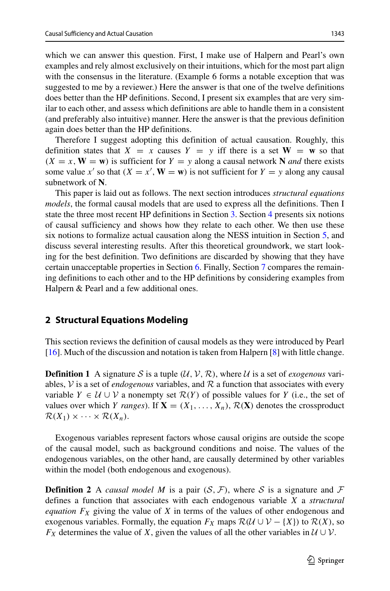which we can answer this question. First, I make use of Halpern and Pearl's own examples and rely almost exclusively on their intuitions, which for the most part align with the consensus in the literature. (Example 6 forms a notable exception that was suggested to me by a reviewer.) Here the answer is that one of the twelve definitions does better than the HP definitions. Second, I present six examples that are very similar to each other, and assess which definitions are able to handle them in a consistent (and preferably also intuitive) manner. Here the answer is that the previous definition again does better than the HP definitions.

Therefore I suggest adopting this definition of actual causation. Roughly, this definition states that  $X = x$  causes  $Y = y$  iff there is a set  $W = w$  so that  $(X = x, W = w)$  is sufficient for  $Y = y$  along a causal network **N** *and* there exists some value *x'* so that  $(X = x', \mathbf{W} = \mathbf{w})$  is not sufficient for  $Y = y$  along any causal subnetwork of **N**.

This paper is laid out as follows. The next section introduces *structural equations models*, the formal causal models that are used to express all the definitions. Then I state the three most recent HP definitions in Section [3.](#page-4-0) Section [4](#page-6-0) presents six notions of causal sufficiency and shows how they relate to each other. We then use these six notions to formalize actual causation along the NESS intuition in Section [5,](#page-11-0) and discuss several interesting results. After this theoretical groundwork, we start looking for the best definition. Two definitions are discarded by showing that they have certain unacceptable properties in Section [6.](#page-14-0) Finally, Section [7](#page-15-0) compares the remaining definitions to each other and to the HP definitions by considering examples from Halpern & Pearl and a few additional ones.

# <span id="page-2-0"></span>**2 Structural Equations Modeling**

This section reviews the definition of causal models as they were introduced by Pearl [\[16\]](#page-33-0). Much of the discussion and notation is taken from Halpern [\[8\]](#page-32-4) with little change.

**Definition 1** A signature S is a tuple  $(\mathcal{U}, \mathcal{V}, \mathcal{R})$ , where U is a set of *exogenous* variables,  $\mathcal V$  is a set of *endogenous* variables, and  $\mathcal R$  a function that associates with every variable  $Y \in \mathcal{U} \cup \mathcal{V}$  a nonempty set  $\mathcal{R}(Y)$  of possible values for *Y* (i.e., the set of values over which *Y ranges*). If  $X = (X_1, \ldots, X_n)$ ,  $\mathcal{R}(X)$  denotes the crossproduct  $\mathcal{R}(X_1) \times \cdots \times \mathcal{R}(X_n)$ .

Exogenous variables represent factors whose causal origins are outside the scope of the causal model, such as background conditions and noise. The values of the endogenous variables, on the other hand, are causally determined by other variables within the model (both endogenous and exogenous).

**Definition 2** A *causal model M* is a pair  $(S, \mathcal{F})$ , where S is a signature and  $\mathcal{F}$ defines a function that associates with each endogenous variable *X* a *structural equation FX* giving the value of *X* in terms of the values of other endogenous and exogenous variables. Formally, the equation  $F_X$  maps  $\mathcal{R}(\mathcal{U} \cup \mathcal{V} - \{X\})$  to  $\mathcal{R}(X)$ , so *F<sub>X</sub>* determines the value of *X*, given the values of all the other variables in  $U \cup V$ .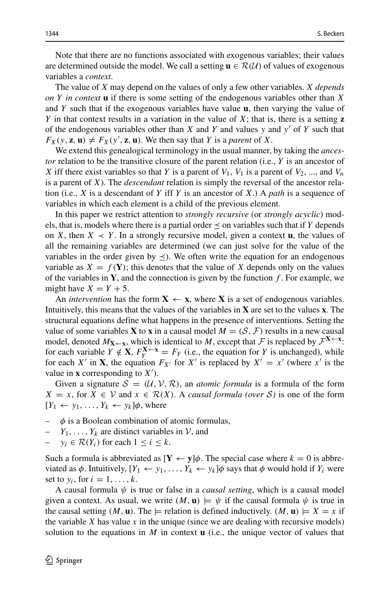Note that there are no functions associated with exogenous variables; their values are determined outside the model. We call a setting  $\mathbf{u} \in \mathcal{R}(\mathcal{U})$  of values of exogenous variables a *context*.

The value of *X* may depend on the values of only a few other variables. *X depends on Y in context* **u** if there is some setting of the endogenous variables other than *X* and *Y* such that if the exogenous variables have value **u**, then varying the value of *Y* in that context results in a variation in the value of *X*; that is, there is a setting **z** of the endogenous variables other than *X* and *Y* and values *y* and *y*- of *Y* such that  $F_X(y, z, u) \neq F_X(y', z, u)$ . We then say that *Y* is a *parent* of *X*.

We extend this genealogical terminology in the usual manner, by taking the *ancestor* relation to be the transitive closure of the parent relation (i.e., *Y* is an ancestor of *X* iff there exist variables so that *Y* is a parent of  $V_1$ ,  $V_1$  is a parent of  $V_2$ , ..., and  $V_n$ is a parent of *X*). The *descendant* relation is simply the reversal of the ancestor relation (i.e., *X* is a descendant of *Y* iff *Y* is an ancestor of *X*.) A *path* is a sequence of variables in which each element is a child of the previous element.

In this paper we restrict attention to *strongly recursive* (or *strongly acyclic*) models, that is, models where there is a partial order  $\leq$  on variables such that if *Y* depends on *X*, then  $X \prec Y$ . In a strongly recursive model, given a context **u**, the values of all the remaining variables are determined (we can just solve for the value of the variables in the order given by  $\leq$ ). We often write the equation for an endogenous variable as  $X = f(Y)$ ; this denotes that the value of X depends only on the values of the variables in **Y**, and the connection is given by the function *f* . For example, we might have  $X = Y + 5$ .

An *intervention* has the form  $X \leftarrow x$ , where X is a set of endogenous variables. Intuitively, this means that the values of the variables in **X** are set to the values **x**. The structural equations define what happens in the presence of interventions. Setting the value of some variables **X** to **x** in a causal model  $M = (S, \mathcal{F})$  results in a new causal model, denoted  $M_{\mathbf{X} \leftarrow \mathbf{x}}$ , which is identical to *M*, except that *F* is replaced by  $\mathcal{F}^{\mathbf{X} \leftarrow \mathbf{x}}$ : for each variable  $Y \notin \mathbf{X}$ ,  $F_v^{\mathbf{X} \leftarrow \mathbf{x}} = F_Y$  (i.e., the equation for *Y* is unchanged), while for each *X'* in **X**, the equation  $F_{X'}$  for *X'* is replaced by  $X' = x'$  (where *x'* is the value in **x** corresponding to  $X'$ ).

Given a signature  $S = (U, V, R)$ , an *atomic formula* is a formula of the form *X* = *x*, for *X* ∈ *V* and *x* ∈  $\mathcal{R}(X)$ . A *causal formula (over* S) is one of the form  $[Y_1 \leftarrow y_1, \ldots, Y_k \leftarrow y_k] \phi$ , where

- $\phi$  is a Boolean combination of atomic formulas,
- $Y_1, \ldots, Y_k$  are distinct variables in  $\mathcal{V}$ , and
- $y_i \in \mathcal{R}(Y_i)$  for each  $1 \leq i \leq k$ .

Such a formula is abbreviated as  $[\mathbf{Y} \leftarrow \mathbf{y}]\phi$ . The special case where  $k = 0$  is abbreviated as  $\phi$ . Intuitively,  $[Y_1 \leftarrow y_1, \ldots, Y_k \leftarrow y_k] \phi$  says that  $\phi$  would hold if  $Y_i$  were set to  $y_i$ , for  $i = 1, \ldots, k$ .

A causal formula  $\psi$  is true or false in a *causal setting*, which is a causal model given a context. As usual, we write  $(M, \mathbf{u}) \models \psi$  if the causal formula  $\psi$  is true in the causal setting  $(M, \mathbf{u})$ . The  $\models$  relation is defined inductively.  $(M, \mathbf{u}) \models X = x$  if the variable  $X$  has value  $x$  in the unique (since we are dealing with recursive models) solution to the equations in  $M$  in context  $\bf{u}$  (i.e., the unique vector of values that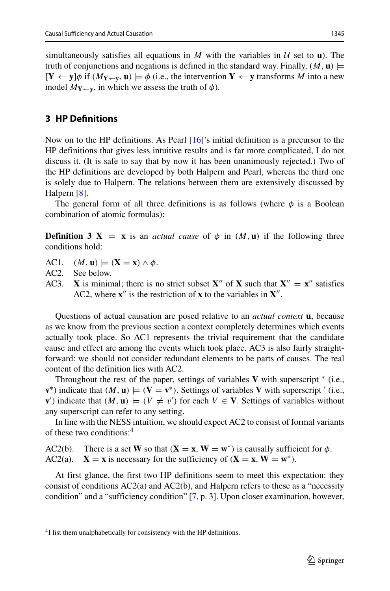simultaneously satisfies all equations in *M* with the variables in  $U$  set to **u**). The truth of conjunctions and negations is defined in the standard way. Finally,  $(M, \mathbf{u})$   $\models$  $[\mathbf{Y} \leftarrow \mathbf{y}]\phi$  if  $(M_{\mathbf{Y} \leftarrow \mathbf{y}}, \mathbf{u}) \models \phi$  (i.e., the intervention  $\mathbf{Y} \leftarrow \mathbf{y}$  transforms *M* into a new model  $M_{\text{Y} \leftarrow \text{Y}}$ , in which we assess the truth of  $\phi$ ).

# <span id="page-4-0"></span>**3 HP Definitions**

Now on to the HP definitions. As Pearl [\[16\]](#page-33-0)'s initial definition is a precursor to the HP definitions that gives less intuitive results and is far more complicated, I do not discuss it. (It is safe to say that by now it has been unanimously rejected.) Two of the HP definitions are developed by both Halpern and Pearl, whereas the third one is solely due to Halpern. The relations between them are extensively discussed by Halpern [\[8\]](#page-32-4).

The general form of all three definitions is as follows (where  $\phi$  is a Boolean combination of atomic formulas):

**Definition 3 X** = **x** is an *actual cause* of  $\phi$  in *(M, u)* if the following three conditions hold:

- AC1.  $(M, u) \models (X = x) \land \phi$ .<br>AC2. See below.
- See below.
- AC3. **X** is minimal; there is no strict subset **X**<sup>*n*</sup> of **X** such that  $X'' = X''$  satisfies AC2, where  $\mathbf{x}''$  is the restriction of  $\mathbf{x}$  to the variables in  $\mathbf{X}''$ .

Questions of actual causation are posed relative to an *actual context* **u**, because as we know from the previous section a context completely determines which events actually took place. So AC1 represents the trivial requirement that the candidate cause and effect are among the events which took place. AC3 is also fairly straightforward: we should not consider redundant elements to be parts of causes. The real content of the definition lies with AC2.

Throughout the rest of the paper, settings of variables **V** with superscript ∗ (i.e., **v**<sup>\*</sup>) indicate that  $(M, \mathbf{u}) \models (\mathbf{V} = \mathbf{v}^*)$ . Settings of variables **V** with superscript  $'(i.e.,$ **v**<sup> $\prime$ </sup>) indicate that *(M,* **u**)  $\models$  *(V ≠ v<sup>* $\prime$ *</sup>) for each <i>V* ∈ **V**. Settings of variables without any superscript can refer to any setting.

In line with the NESS intuition, we should expect AC2 to consist of formal variants of these two conditions[:4](#page-4-1)

AC2(b). There is a set **W** so that  $(\mathbf{X} = \mathbf{x}, \mathbf{W} = \mathbf{w}^*)$  is causally sufficient for  $\phi$ .<br>AC2(a).  $\mathbf{X} = \mathbf{x}$  is necessary for the sufficiency of  $(\mathbf{X} = \mathbf{x}, \mathbf{W} = \mathbf{w}^*)$ .  $X = x$  is necessary for the sufficiency of  $(X = x, W = w^*)$ .

At first glance, the first two HP definitions seem to meet this expectation: they consist of conditions AC2(a) and AC2(b), and Halpern refers to these as a "necessity condition" and a "sufficiency condition" [\[7,](#page-32-0) p. 3]. Upon closer examination, however,

<span id="page-4-1"></span><sup>&</sup>lt;sup>4</sup>I list them unalphabetically for consistency with the HP definitions.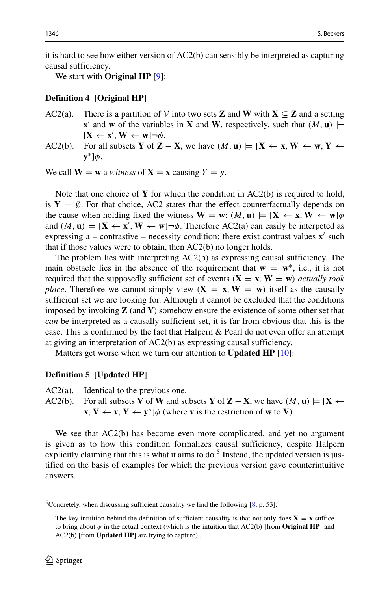it is hard to see how either version of AC2(b) can sensibly be interpreted as capturing causal sufficiency.

We start with **Original HP** [\[9\]](#page-32-7):

#### **Definition 4** [**Original HP**]

- AC2(a). There is a partition of  $V$  into two sets **Z** and **W** with **X**  $\subseteq$  **Z** and a setting **x**<sup>'</sup> and **w** of the variables in **X** and **W**, respectively, such that  $(M, \mathbf{u})$   $\models$  $[\mathbf{X} \leftarrow \mathbf{x}', \mathbf{W} \leftarrow \mathbf{w}] \neg \phi.$
- AC2(b). For all subsets **Y** of **Z** − **X**, we have  $(M, u) \models [X \leftarrow x, W \leftarrow w, Y \leftarrow w]$ **y**∗]*φ*.

We call  $W = w$  a *witness* of  $X = x$  causing  $Y = y$ .

Note that one choice of **Y** for which the condition in AC2(b) is required to hold, is  $Y = \emptyset$ . For that choice, AC2 states that the effect counterfactually depends on the cause when holding fixed the witness  $W = w$ :  $(M, u) \models [X \leftarrow x, W \leftarrow w]\phi$ and  $(M, \mathbf{u}) \models [\mathbf{X} \leftarrow \mathbf{x}', \mathbf{W} \leftarrow \mathbf{w}] \neg \phi$ . Therefore AC2(a) can easily be interpeted as expressing a  $-$  contrastive  $-$  necessity condition: there exist contrast values  $\mathbf{x}'$  such that if those values were to obtain, then AC2(b) no longer holds.

The problem lies with interpreting AC2(b) as expressing causal sufficiency. The main obstacle lies in the absence of the requirement that  $\mathbf{w} = \mathbf{w}^*$ , i.e., it is not required that the supposedly sufficient set of events  $(X = x, W = w)$  *actually took place.* Therefore we cannot simply view  $(X = x, W = w)$  itself as the causally sufficient set we are looking for. Although it cannot be excluded that the conditions imposed by invoking **Z** (and **Y**) somehow ensure the existence of some other set that *can* be interpreted as a causally sufficient set, it is far from obvious that this is the case. This is confirmed by the fact that Halpern & Pearl do not even offer an attempt at giving an interpretation of AC2(b) as expressing causal sufficiency.

Matters get worse when we turn our attention to **Updated HP** [\[10\]](#page-32-1):

#### **Definition 5** [**Updated HP**]

AC2(a). Identical to the previous one.

AC2(b). For all subsets **V** of **W** and subsets **Y** of **Z** − **X**, we have  $(M, u) \models [X \leftarrow$  $\mathbf{x}, \mathbf{V} \leftarrow \mathbf{v}, \mathbf{Y} \leftarrow \mathbf{y}^*$   $\phi$  (where **v** is the restriction of **w** to **V**).

We see that AC2(b) has become even more complicated, and yet no argument is given as to how this condition formalizes causal sufficiency, despite Halpern explicitly claiming that this is what it aims to do.<sup>5</sup> Instead, the updated version is justified on the basis of examples for which the previous version gave counterintuitive answers.

<span id="page-5-0"></span><sup>&</sup>lt;sup>5</sup>Concretely, when discussing sufficient causality we find the following  $[8, p. 53]$  $[8, p. 53]$ :

The key intuition behind the definition of sufficient causality is that not only does  $X = x$  suffice to bring about  $\phi$  in the actual context (which is the intuition that AC2(b) [from **Original HP**] and AC2(b) [from **Updated HP**] are trying to capture)...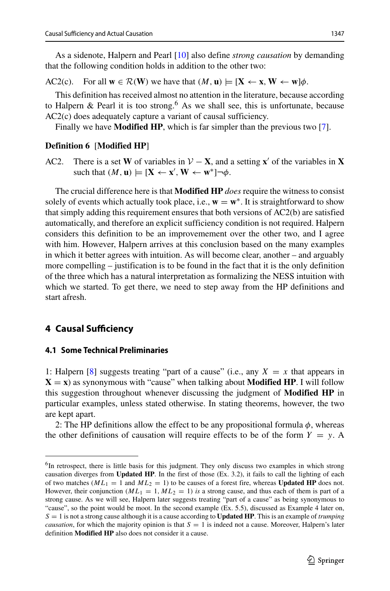As a sidenote, Halpern and Pearl [\[10\]](#page-32-1) also define *strong causation* by demanding that the following condition holds in addition to the other two:

AC2(c). For all  $\mathbf{w} \in \mathcal{R}(\mathbf{W})$  we have that  $(M, \mathbf{u}) \models [\mathbf{X} \leftarrow \mathbf{x}, \mathbf{W} \leftarrow \mathbf{w}]\phi$ .

This definition has received almost no attention in the literature, because according to Halpern & Pearl it is too strong.<sup>[6](#page-6-1)</sup> As we shall see, this is unfortunate, because AC2(c) does adequately capture a variant of causal sufficiency.

Finally we have **Modified HP**, which is far simpler than the previous two [\[7\]](#page-32-0).

#### **Definition 6** [**Modified HP**]

AC2. There is a set **W** of variables in  $V - X$ , and a setting **x**<sup> $\prime$ </sup> of the variables in **X**  $\text{such that } (M, \mathbf{u}) \models [\mathbf{X} \leftarrow \mathbf{x}', \mathbf{W} \leftarrow \mathbf{w}^*] \neg \phi.$ 

The crucial difference here is that **Modified HP** *does* require the witness to consist solely of events which actually took place, i.e.,  $\mathbf{w} = \mathbf{w}^*$ . It is straightforward to show that simply adding this requirement ensures that both versions of AC2(b) are satisfied automatically, and therefore an explicit sufficiency condition is not required. Halpern considers this definition to be an improvemement over the other two, and I agree with him. However, Halpern arrives at this conclusion based on the many examples in which it better agrees with intuition. As will become clear, another – and arguably more compelling – justification is to be found in the fact that it is the only definition of the three which has a natural interpretation as formalizing the NESS intuition with which we started. To get there, we need to step away from the HP definitions and start afresh.

### <span id="page-6-0"></span>**4 Causal Sufficiency**

#### **4.1 Some Technical Preliminaries**

1: Halpern [\[8\]](#page-32-4) suggests treating "part of a cause" (i.e., any  $X = x$  that appears in  $X = x$ ) as synonymous with "cause" when talking about **Modified HP**. I will follow this suggestion throughout whenever discussing the judgment of **Modified HP** in particular examples, unless stated otherwise. In stating theorems, however, the two are kept apart.

2: The HP definitions allow the effect to be any propositional formula  $\phi$ , whereas the other definitions of causation will require effects to be of the form  $Y = y$ . A

<span id="page-6-1"></span><sup>&</sup>lt;sup>6</sup>In retrospect, there is little basis for this judgment. They only discuss two examples in which strong causation diverges from **Updated HP**. In the first of those (Ex. 3.2), it fails to call the lighting of each of two matches ( $ML_1 = 1$  and  $ML_2 = 1$ ) to be causes of a forest fire, whereas **Updated HP** does not. However, their conjunction  $(ML_1 = 1, ML_2 = 1)$  *is* a strong cause, and thus each of them is part of a strong cause. As we will see, Halpern later suggests treating "part of a cause" as being synonymous to "cause", so the point would be moot. In the second example (Ex. 5.5), discussed as Example 4 later on, *S* = 1 is not a strong cause although it is a cause according to **Updated HP**. This is an example of *trumping causation*, for which the majority opinion is that  $S = 1$  is indeed not a cause. Moreover, Halpern's later definition **Modified HP** also does not consider it a cause.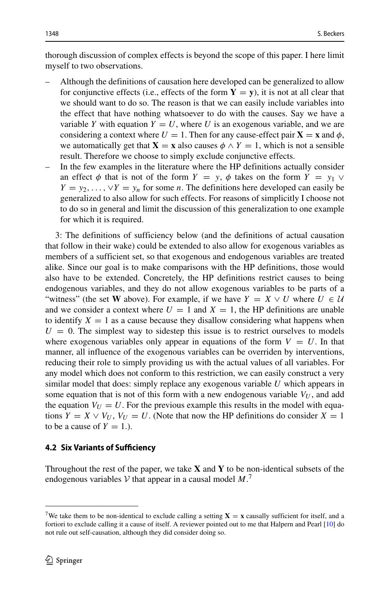thorough discussion of complex effects is beyond the scope of this paper. I here limit myself to two observations.

- Although the definitions of causation here developed can be generalized to allow for conjunctive effects (i.e., effects of the form  $Y = y$ ), it is not at all clear that we should want to do so. The reason is that we can easily include variables into the effect that have nothing whatsoever to do with the causes. Say we have a variable *Y* with equation  $Y = U$ , where *U* is an exogenous variable, and we are considering a context where  $U = 1$ . Then for any cause-effect pair  $X = x$  and  $\phi$ , we automatically get that **X** = **x** also causes  $\phi \land Y = 1$ , which is not a sensible result. Therefore we choose to simply exclude conjunctive effects.
- In the few examples in the literature where the HP definitions actually consider an effect  $\phi$  that is not of the form  $Y = y$ ,  $\phi$  takes on the form  $Y = y_1 \vee \phi$  $Y = y_2, \ldots, \forall Y = y_n$  for some *n*. The definitions here developed can easily be generalized to also allow for such effects. For reasons of simplicitly I choose not to do so in general and limit the discussion of this generalization to one example for which it is required.

3: The definitions of sufficiency below (and the definitions of actual causation that follow in their wake) could be extended to also allow for exogenous variables as members of a sufficient set, so that exogenous and endogenous variables are treated alike. Since our goal is to make comparisons with the HP definitions, those would also have to be extended. Concretely, the HP definitions restrict causes to being endogenous variables, and they do not allow exogenous variables to be parts of a "witness" (the set **W** above). For example, if we have  $Y = X \vee U$  where  $U \in \mathcal{U}$ and we consider a context where  $U = 1$  and  $X = 1$ , the HP definitions are unable to identify  $X = 1$  as a cause because they disallow considering what happens when  $U = 0$ . The simplest way to sidestep this issue is to restrict ourselves to models where exogenous variables only appear in equations of the form  $V = U$ . In that manner, all influence of the exogenous variables can be overriden by interventions, reducing their role to simply providing us with the actual values of all variables. For any model which does not conform to this restriction, we can easily construct a very similar model that does: simply replace any exogenous variable *U* which appears in some equation that is not of this form with a new endogenous variable  $V_U$ , and add the equation  $V_U = U$ . For the previous example this results in the model with equations  $Y = X \vee V_U$ ,  $V_U = U$ . (Note that now the HP definitions do consider  $X = 1$ to be a cause of  $Y = 1$ .).

### **4.2 Six Variants of Sufficiency**

Throughout the rest of the paper, we take **X** and **Y** to be non-identical subsets of the endogenous variables  $V$  that appear in a causal model  $M$ .<sup>[7](#page-7-0)</sup>

<span id="page-7-0"></span><sup>&</sup>lt;sup>7</sup>We take them to be non-identical to exclude calling a setting  $X = x$  causally sufficient for itself, and a fortiori to exclude calling it a cause of itself. A reviewer pointed out to me that Halpern and Pearl [\[10\]](#page-32-1) do not rule out self-causation, although they did consider doing so.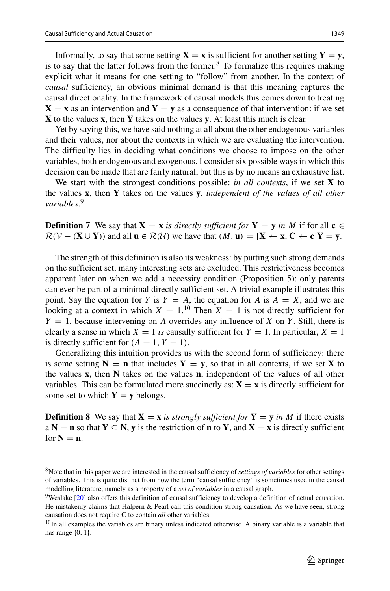Informally, to say that some setting  $X = x$  is sufficient for another setting  $Y = y$ , is to say that the latter follows from the former.<sup>[8](#page-8-0)</sup> To formalize this requires making explicit what it means for one setting to "follow" from another. In the context of *causal* sufficiency, an obvious minimal demand is that this meaning captures the causal directionality. In the framework of causal models this comes down to treating  $X = x$  as an intervention and  $Y = y$  as a consequence of that intervention: if we set **X** to the values **x**, then **Y** takes on the values **y**. At least this much is clear.

Yet by saying this, we have said nothing at all about the other endogenous variables and their values, nor about the contexts in which we are evaluating the intervention. The difficulty lies in deciding what conditions we choose to impose on the other variables, both endogenous and exogenous. I consider six possible ways in which this decision can be made that are fairly natural, but this is by no means an exhaustive list.

We start with the strongest conditions possible: *in all contexts*, if we set **X** to the values **x**, then **Y** takes on the values **y**, *independent of the values of all other variables*. [9](#page-8-1)

**Definition 7** We say that  $X = x$  *is directly sufficient for*  $Y = y$  *in M* if for all  $c \in$  $\mathcal{R}(V - (\mathbf{X} \cup \mathbf{Y}))$  and all  $\mathbf{u} \in \mathcal{R}(\mathcal{U})$  we have that  $(M, \mathbf{u}) \models [\mathbf{X} \leftarrow \mathbf{x}, \mathbf{C} \leftarrow \mathbf{c}] \mathbf{Y} = \mathbf{y}$ .

The strength of this definition is also its weakness: by putting such strong demands on the sufficient set, many interesting sets are excluded. This restrictiveness becomes apparent later on when we add a necessity condition (Proposition 5): only parents can ever be part of a minimal directly sufficient set. A trivial example illustrates this point. Say the equation for *Y* is  $Y = A$ , the equation for *A* is  $A = X$ , and we are looking at a context in which  $X = 1$ .<sup>[10](#page-8-2)</sup> Then  $X = 1$  is not directly sufficient for  $Y = 1$ , because intervening on *A* overrides any influence of *X* on *Y*. Still, there is clearly a sense in which  $X = 1$  *is* causally sufficient for  $Y = 1$ . In particular,  $X = 1$ is directly sufficient for  $(A = 1, Y = 1)$ .

Generalizing this intuition provides us with the second form of sufficiency: there is some setting  $N = n$  that includes  $Y = y$ , so that in all contexts, if we set **X** to the values **x**, then **N** takes on the values **n**, independent of the values of all other variables. This can be formulated more succinctly as:  $X = x$  is directly sufficient for some set to which  $Y = y$  belongs.

**Definition 8** We say that  $X = x$  *is strongly sufficient for*  $Y = y$  *in M* if there exists a  $N = n$  so that  $Y \subseteq N$ , y is the restriction of **n** to Y, and  $X = x$  is directly sufficient for  $N = n$ .

<span id="page-8-0"></span><sup>8</sup>Note that in this paper we are interested in the causal sufficiency of *settings of variables* for other settings of variables. This is quite distinct from how the term "causal sufficiency" is sometimes used in the causal modelling literature, namely as a property of a *set of variables* in a causal graph.

<span id="page-8-1"></span><sup>9</sup>Weslake [\[20\]](#page-33-7) also offers this definition of causal sufficiency to develop a definition of actual causation. He mistakenly claims that Halpern & Pearl call this condition strong causation. As we have seen, strong causation does not require **C** to contain *all* other variables.

<span id="page-8-2"></span><sup>&</sup>lt;sup>10</sup>In all examples the variables are binary unless indicated otherwise. A binary variable is a variable that has range {0*,* 1}.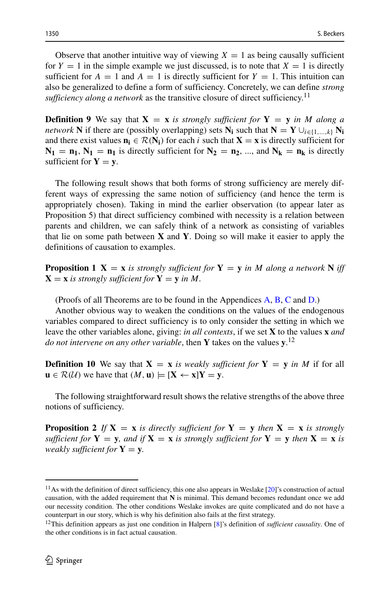Observe that another intuitive way of viewing  $X = 1$  as being causally sufficient for  $Y = 1$  in the simple example we just discussed, is to note that  $X = 1$  is directly sufficient for  $A = 1$  and  $A = 1$  is directly sufficient for  $Y = 1$ . This intuition can also be generalized to define a form of sufficiency. Concretely, we can define *strong sufficiency along a network* as the transitive closure of direct sufficiency.<sup>[11](#page-9-0)</sup>

**Definition 9** We say that  $X = x$  *is strongly sufficient for*  $Y = y$  *in M along a network* **N** if there are (possibly overlapping) sets  $N_i$  such that  $N = Y \cup_{i \in \{1, ..., k\}} N_i$ and there exist values  $\mathbf{n}_i \in \mathcal{R}(\mathbf{N}_i)$  for each *i* such that  $\mathbf{X} = \mathbf{x}$  is directly sufficient for  $N_1 = n_1$ ,  $N_1 = n_1$  is directly sufficient for  $N_2 = n_2$ , ..., and  $N_k = n_k$  is directly sufficient for  $Y = y$ .

The following result shows that both forms of strong sufficiency are merely different ways of expressing the same notion of sufficiency (and hence the term is appropriately chosen). Taking in mind the earlier observation (to appear later as Proposition 5) that direct sufficiency combined with necessity is a relation between parents and children, we can safely think of a network as consisting of variables that lie on some path between **X** and **Y**. Doing so will make it easier to apply the definitions of causation to examples.

**Proposition 1 X** = **x** *is strongly sufficient for* **Y** = **y** *in M along a network* **N** *iff*  $X = x$  *is strongly sufficient for*  $Y = y$  *in M.* 

(Proofs of all Theorems are to be found in the Appendices [A,](#page-22-0) [B,](#page-23-0) [C](#page-30-0) and [D.](#page-31-0))

Another obvious way to weaken the conditions on the values of the endogenous variables compared to direct sufficiency is to only consider the setting in which we leave the other variables alone, giving: *in all contexts*, if we set **X** to the values **x** *and do not intervene on any other variable*, then **Y** takes on the values **y**. [12](#page-9-1)

**Definition 10** We say that  $X = x$  *is weakly sufficient for*  $Y = y$  *in M* if for all **u** ∈  $\mathcal{R}(\mathcal{U})$  we have that  $(M, \mathbf{u})$   $\models$   $[\mathbf{X} \leftarrow \mathbf{x}]$  $\mathbf{Y} = \mathbf{y}$ .

The following straightforward result shows the relative strengths of the above three notions of sufficiency.

**Proposition 2** If  $X = x$  *is directly sufficient for*  $Y = y$  *then*  $X = x$  *is strongly sufficient for*  $Y = y$ *, and if*  $X = x$  *is strongly sufficient for*  $Y = y$  *then*  $X = x$  *is weakly sufficient for*  $Y = y$ *.* 

<span id="page-9-0"></span> $11$ As with the definition of direct sufficiency, this one also appears in Weslake [\[20\]](#page-33-7)'s construction of actual causation, with the added requirement that **N** is minimal. This demand becomes redundant once we add our necessity condition. The other conditions Weslake invokes are quite complicated and do not have a counterpart in our story, which is why his definition also fails at the first strategy.

<span id="page-9-1"></span><sup>12</sup>This definition appears as just one condition in Halpern [\[8\]](#page-32-4)'s definition of *sufficient causality*. One of the other conditions is in fact actual causation.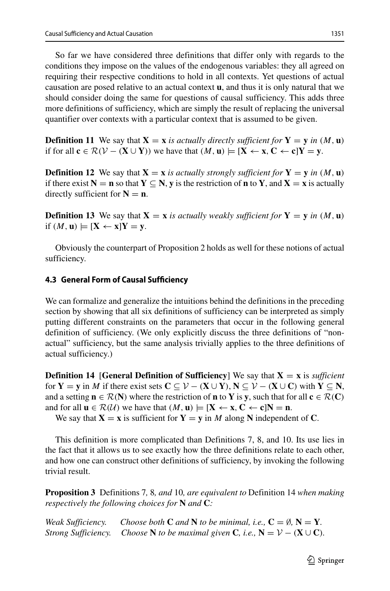So far we have considered three definitions that differ only with regards to the conditions they impose on the values of the endogenous variables: they all agreed on requiring their respective conditions to hold in all contexts. Yet questions of actual causation are posed relative to an actual context **u**, and thus it is only natural that we should consider doing the same for questions of causal sufficiency. This adds three more definitions of sufficiency, which are simply the result of replacing the universal quantifier over contexts with a particular context that is assumed to be given.

**Definition 11** We say that  $X = x$  *is actually directly sufficient for*  $Y = y$  *in*  $(M, u)$ if for all  $c \in \mathcal{R}(V - (\mathbf{X} \cup \mathbf{Y}))$  we have that  $(M, \mathbf{u}) \models [\mathbf{X} \leftarrow \mathbf{x}, \mathbf{C} \leftarrow \mathbf{c}] \mathbf{Y} = \mathbf{y}$ .

**Definition 12** We say that  $X = x$  *is actually strongly sufficient for*  $Y = y$  *in*  $(M, u)$ if there exist  $N = n$  so that  $Y \subseteq N$ , y is the restriction of n to Y, and  $X = x$  is actually directly sufficient for  $N = n$ .

**Definition 13** We say that  $X = x$  *is actually weakly sufficient for*  $Y = y$  *in*  $(M, u)$ if  $(M, u) \models [X \leftarrow x]Y = y$ .

Obviously the counterpart of Proposition 2 holds as well for these notions of actual sufficiency.

### **4.3 General Form of Causal Sufficiency**

We can formalize and generalize the intuitions behind the definitions in the preceding section by showing that all six definitions of sufficiency can be interpreted as simply putting different constraints on the parameters that occur in the following general definition of sufficiency. (We only explicitly discuss the three definitions of "nonactual" sufficiency, but the same analysis trivially applies to the three definitions of actual sufficiency.)

**Definition 14** [**General Definition of Sufficiency**] We say that **X** = **x** is *sufficient* for **Y** = **y** in *M* if there exist sets  $C \subseteq V - (\mathbf{X} \cup \mathbf{Y}), \mathbf{N} \subseteq V - (\mathbf{X} \cup \mathbf{C})$  with  $\mathbf{Y} \subseteq \mathbf{N}$ , and a setting  $\mathbf{n} \in \mathcal{R}(\mathbf{N})$  where the restriction of  $\mathbf{n}$  to Y is y, such that for all  $\mathbf{c} \in \mathcal{R}(\mathbf{C})$ and for all  $\mathbf{u} \in \mathcal{R}(\mathcal{U})$  we have that  $(M, \mathbf{u}) \models [\mathbf{X} \leftarrow \mathbf{x}, \mathbf{C} \leftarrow \mathbf{c}]\mathbf{N} = \mathbf{n}$ .

We say that  $X = x$  is sufficient for  $Y = y$  in *M* along N independent of C.

This definition is more complicated than Definitions 7, 8, and 10. Its use lies in the fact that it allows us to see exactly how the three definitions relate to each other, and how one can construct other definitions of sufficiency, by invoking the following trivial result.

**Proposition 3** Definitions 7*,* 8*, and* 10*, are equivalent to* Definition 14 *when making respectively the following choices for* **N** *and* **C***:*

| Weak Sufficiency. | Choose both C and N to be minimal, i.e., $C = \emptyset$ , $N = Y$ .             |
|-------------------|----------------------------------------------------------------------------------|
|                   | Strong Sufficiency. Choose N to be maximal given C, i.e., $N = V - (X \cup C)$ . |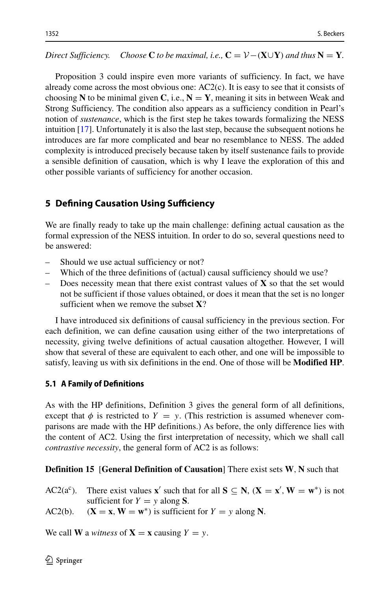*Direct Sufficiency. Choose* **C** *to be maximal, i.e.,*  $\mathbf{C} = \mathcal{V} - (\mathbf{X} \cup \mathbf{Y})$  *and thus*  $\mathbf{N} = \mathbf{Y}$ *.* 

Proposition 3 could inspire even more variants of sufficiency. In fact, we have already come across the most obvious one: AC2(c). It is easy to see that it consists of choosing **N** to be minimal given **C**, i.e.,  $N = Y$ , meaning it sits in between Weak and Strong Sufficiency. The condition also appears as a sufficiency condition in Pearl's notion of *sustenance*, which is the first step he takes towards formalizing the NESS intuition [\[17\]](#page-33-1). Unfortunately it is also the last step, because the subsequent notions he introduces are far more complicated and bear no resemblance to NESS. The added complexity is introduced precisely because taken by itself sustenance fails to provide a sensible definition of causation, which is why I leave the exploration of this and other possible variants of sufficiency for another occasion.

# <span id="page-11-0"></span>**5 Defining Causation Using Sufficiency**

We are finally ready to take up the main challenge: defining actual causation as the formal expression of the NESS intuition. In order to do so, several questions need to be answered:

- Should we use actual sufficiency or not?
- Which of the three definitions of (actual) causal sufficiency should we use?
- Does necessity mean that there exist contrast values of **X** so that the set would not be sufficient if those values obtained, or does it mean that the set is no longer sufficient when we remove the subset **X**?

I have introduced six definitions of causal sufficiency in the previous section. For each definition, we can define causation using either of the two interpretations of necessity, giving twelve definitions of actual causation altogether. However, I will show that several of these are equivalent to each other, and one will be impossible to satisfy, leaving us with six definitions in the end. One of those will be **Modified HP**.

# **5.1 A Family of Definitions**

As with the HP definitions, Definition 3 gives the general form of all definitions, except that  $\phi$  is restricted to  $Y = y$ . (This restriction is assumed whenever comparisons are made with the HP definitions.) As before, the only difference lies with the content of AC2. Using the first interpretation of necessity, which we shall call *contrastive necessity*, the general form of AC2 is as follows:

# **Definition 15** [**General Definition of Causation**] There exist sets **W***,* **N** such that

AC2( $a^c$ ). There exist values **x**<sup> $\prime$ </sup> such that for all  $S \subseteq N$ ,  $(X = x^{\prime}, W = w^*)$  is not sufficient for  $Y = y$  along **S**.

AC2(b).  $(\mathbf{X} = \mathbf{x}, \mathbf{W} = \mathbf{w}^*)$  is sufficient for  $Y = y$  along N.

We call **W** a *witness* of  $X = x$  causing  $Y = y$ .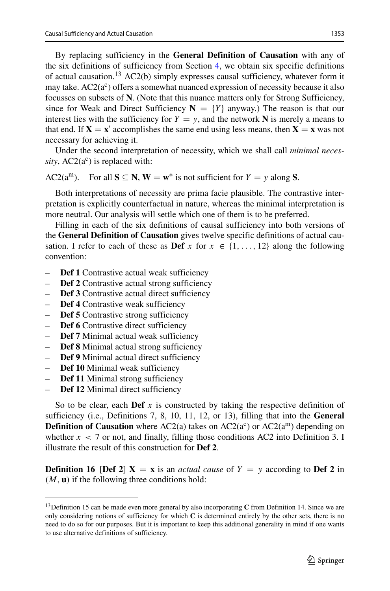By replacing sufficiency in the **General Definition of Causation** with any of the six definitions of sufficiency from Section [4,](#page-6-0) we obtain six specific definitions of actual causation[.13](#page-12-0) AC2(b) simply expresses causal sufficiency, whatever form it may take.  $AC2(a^c)$  offers a somewhat nuanced expression of necessity because it also focusses on subsets of **N**. (Note that this nuance matters only for Strong Sufficiency, since for Weak and Direct Sufficiency  $N = \{Y\}$  anyway.) The reason is that our interest lies with the sufficiency for  $Y = y$ , and the network **N** is merely a means to that end. If  $X = x'$  accomplishes the same end using less means, then  $X = x$  was not necessary for achieving it.

Under the second interpretation of necessity, which we shall call *minimal neces* $sity$ ,  $AC2(a^c)$  is replaced with:

AC2( $a^m$ ). For all  $S \subseteq N$ ,  $W = w^*$  is not sufficient for  $Y = y$  along S.

Both interpretations of necessity are prima facie plausible. The contrastive interpretation is explicitly counterfactual in nature, whereas the minimal interpretation is more neutral. Our analysis will settle which one of them is to be preferred.

Filling in each of the six definitions of causal sufficiency into both versions of the **General Definition of Causation** gives twelve specific definitions of actual causation. I refer to each of these as **Def**  $x$  for  $x \in \{1, \ldots, 12\}$  along the following convention:

- **Def 1** Contrastive actual weak sufficiency
- **Def 2** Contrastive actual strong sufficiency
- **Def 3** Contrastive actual direct sufficiency
- **Def 4** Contrastive weak sufficiency
- **Def 5** Contrastive strong sufficiency
- **Def 6** Contrastive direct sufficiency
- **Def 7** Minimal actual weak sufficiency
- **Def 8** Minimal actual strong sufficiency
- **Def 9** Minimal actual direct sufficiency
- **Def 10** Minimal weak sufficiency
- **Def 11** Minimal strong sufficiency
- **Def 12** Minimal direct sufficiency

So to be clear, each **Def** *x* is constructed by taking the respective definition of sufficiency (i.e., Definitions 7, 8, 10, 11, 12, or 13), filling that into the **General Definition of Causation** where AC2(a) takes on AC2( $a^c$ ) or AC2( $a^m$ ) depending on whether  $x < 7$  or not, and finally, filling those conditions AC2 into Definition 3. I illustrate the result of this construction for **Def 2**.

**Definition 16** [Def 2]  $X = x$  is an *actual cause* of  $Y = y$  according to Def 2 in *(M,* **u***)* if the following three conditions hold:

<span id="page-12-0"></span><sup>&</sup>lt;sup>13</sup>Definition 15 can be made even more general by also incorporating **C** from Definition 14. Since we are only considering notions of sufficiency for which **C** is determined entirely by the other sets, there is no need to do so for our purposes. But it is important to keep this additional generality in mind if one wants to use alternative definitions of sufficiency.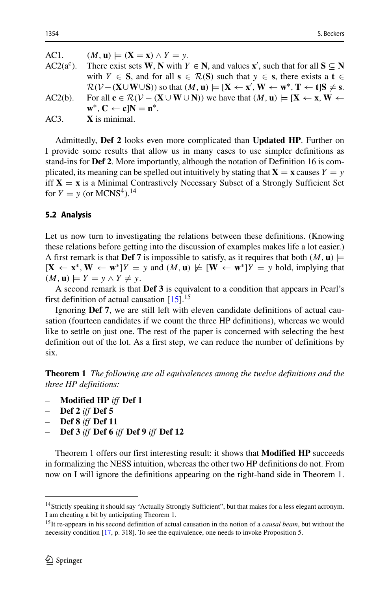| AC1.         | $(M, u) \models (X = x) \land Y = y.$                                                                                                                                                                                                             |
|--------------|---------------------------------------------------------------------------------------------------------------------------------------------------------------------------------------------------------------------------------------------------|
| $AC2(a^c)$ . | There exist sets W, N with $Y \in N$ , and values x', such that for all $S \subseteq N$                                                                                                                                                           |
|              | with $Y \in S$ , and for all $s \in \mathcal{R}(S)$ such that $y \in s$ , there exists a $t \in$                                                                                                                                                  |
|              | $\mathcal{R}(\mathcal{V} - (\mathbf{X} \cup \mathbf{W} \cup \mathbf{S}))$ so that $(M, \mathbf{u}) \models [\mathbf{X} \leftarrow \mathbf{x}', \mathbf{W} \leftarrow \mathbf{w}^*, \mathbf{T} \leftarrow \mathbf{t}] \mathbf{S} \neq \mathbf{s}.$ |
| $AC2(b)$ .   | For all $c \in \mathcal{R}(V - (X \cup W \cup N))$ we have that $(M, u) \models [X \leftarrow x, W \leftarrow$                                                                                                                                    |
|              | $\mathbf{w}^*$ , $\mathbf{C} \leftarrow \mathbf{c}   \mathbf{N} = \mathbf{n}^*$ .                                                                                                                                                                 |
| AC3.         | $\bf{X}$ is minimal.                                                                                                                                                                                                                              |
|              |                                                                                                                                                                                                                                                   |

Admittedly, **Def 2** looks even more complicated than **Updated HP**. Further on I provide some results that allow us in many cases to use simpler definitions as stand-ins for **Def 2**. More importantly, although the notation of Definition 16 is complicated, its meaning can be spelled out intuitively by stating that  $X = x$  causes  $Y = y$ iff  $X = x$  is a Minimal Contrastively Necessary Subset of a Strongly Sufficient Set for  $Y = y$  (or MCNS<sup>4</sup>).<sup>14</sup>

#### **5.2 Analysis**

Let us now turn to investigating the relations between these definitions. (Knowing these relations before getting into the discussion of examples makes life a lot easier.) A first remark is that **Def 7** is impossible to satisfy, as it requires that both  $(M, \mathbf{u}) \models$  $[\mathbf{X} \leftarrow \mathbf{x}^*, \mathbf{W} \leftarrow \mathbf{w}^*]Y = y$  and  $(M, \mathbf{u}) \not\models [\mathbf{W} \leftarrow \mathbf{w}^*]Y = y$  hold, implying that  $(M, u) \models Y = y \land Y \neq y.$ 

A second remark is that **Def 3** is equivalent to a condition that appears in Pearl's first definition of actual causation  $[15]$ .<sup>[15](#page-13-1)</sup>

Ignoring **Def 7**, we are still left with eleven candidate definitions of actual causation (fourteen candidates if we count the three HP definitions), whereas we would like to settle on just one. The rest of the paper is concerned with selecting the best definition out of the lot. As a first step, we can reduce the number of definitions by six.

**Theorem 1** *The following are all equivalences among the twelve definitions and the three HP definitions:*

- *–* **Modified HP** *iff* **Def 1**
- *–* **Def 2** *iff* **Def 5**
- *–* **Def 8** *iff* **Def 11**
- *–* **Def 3** *iff* **Def 6** *iff* **Def 9** *iff* **Def 12**

Theorem 1 offers our first interesting result: it shows that **Modified HP** succeeds in formalizing the NESS intuition, whereas the other two HP definitions do not. From now on I will ignore the definitions appearing on the right-hand side in Theorem 1.

<span id="page-13-0"></span><sup>&</sup>lt;sup>14</sup> Strictly speaking it should say "Actually Strongly Sufficient", but that makes for a less elegant acronym. I am cheating a bit by anticipating Theorem 1.

<span id="page-13-1"></span><sup>15</sup>It re-appears in his second definition of actual causation in the notion of a *causal beam*, but without the necessity condition [\[17,](#page-33-1) p. 318]. To see the equivalence, one needs to invoke Proposition 5.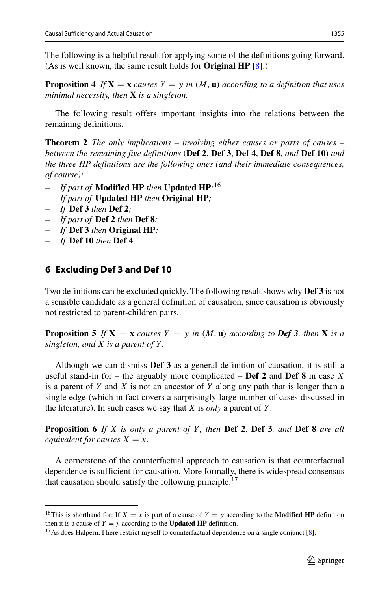The following is a helpful result for applying some of the definitions going forward. (As is well known, the same result holds for **Original HP** [\[8\]](#page-32-4).)

**Proposition 4** *If*  $X = x$  *causes*  $Y = y$  *in*  $(M, u)$  *according to a definition that uses minimal necessity, then* **X** *is a singleton.*

The following result offers important insights into the relations between the remaining definitions.

**Theorem 2** *The only implications – involving either causes or parts of causes – between the remaining five definitions* (**Def 2**, **Def 3**, **Def 4**, **Def 8***, and* **Def 10**) *and the three HP definitions are the following ones (and their immediate consequences, of course):*

- *If part of* **Modified HP** *then* **Updated HP***;* [16](#page-14-1)
- *If part of* **Updated HP** *then* **Original HP***;*
- *If* **Def 3** *then* **Def 2***;*
- *If part of* **Def 2** *then* **Def 8***;*
- *If* **Def 3** *then* **Original HP***;*
- *If* **Def 10** *then* **Def 4***.*

# <span id="page-14-0"></span>**6 Excluding Def 3 and Def 10**

Two definitions can be excluded quickly. The following result shows why **Def 3** is not a sensible candidate as a general definition of causation, since causation is obviously not restricted to parent-children pairs.

**Proposition 5** If  $X = x$  *causes*  $Y = y$  *in*  $(M, u)$  *according to Def 3, then*  $X$  *is a singleton, and X is a parent of Y .*

Although we can dismiss **Def 3** as a general definition of causation, it is still a useful stand-in for – the arguably more complicated – **Def 2** and **Def 8** in case *X* is a parent of *Y* and *X* is not an ancestor of *Y* along any path that is longer than a single edge (which in fact covers a surprisingly large number of cases discussed in the literature). In such cases we say that *X* is *only* a parent of *Y* .

**Proposition 6** *If X is only a parent of Y , then* **Def 2**, **Def 3***, and* **Def 8** *are all equivalent for causes*  $X = x$ *.* 

A cornerstone of the counterfactual approach to causation is that counterfactual dependence is sufficient for causation. More formally, there is widespread consensus that causation should satisfy the following principle: $17$ 

<span id="page-14-1"></span><sup>&</sup>lt;sup>16</sup>This is shorthand for: If *X* = *x* is part of a cause of *Y* = *y* according to the **Modified HP** definition then it is a cause of *Y* = *y* according to the **Updated HP** definition.

<span id="page-14-2"></span><sup>&</sup>lt;sup>17</sup> As does Halpern, I here restrict myself to counterfactual dependence on a single conjunct [\[8\]](#page-32-4).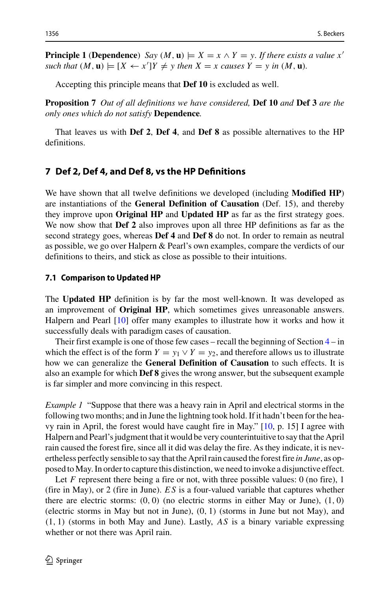**Principle 1** (**Dependence**) *Say*  $(M, \mathbf{u}) \models X = x \land Y = y$ *. If there exists a value x*<sup>1</sup> such that  $(M, \mathbf{u}) \models [X \leftarrow x']Y \neq y$  then  $X = x$  causes  $Y = y$  in  $(M, \mathbf{u})$ .

Accepting this principle means that **Def 10** is excluded as well.

**Proposition 7** *Out of all definitions we have considered,* **Def 10** *and* **Def 3** *are the only ones which do not satisfy* **Dependence***.*

That leaves us with **Def 2**, **Def 4**, and **Def 8** as possible alternatives to the HP definitions.

### <span id="page-15-0"></span>**7 Def 2, Def 4, and Def 8, vs the HP Definitions**

We have shown that all twelve definitions we developed (including **Modified HP**) are instantiations of the **General Definition of Causation** (Def. 15), and thereby they improve upon **Original HP** and **Updated HP** as far as the first strategy goes. We now show that **Def 2** also improves upon all three HP definitions as far as the second strategy goes, whereas **Def 4** and **Def 8** do not. In order to remain as neutral as possible, we go over Halpern & Pearl's own examples, compare the verdicts of our definitions to theirs, and stick as close as possible to their intuitions.

#### **7.1 Comparison to Updated HP**

The **Updated HP** definition is by far the most well-known. It was developed as an improvement of **Original HP**, which sometimes gives unreasonable answers. Halpern and Pearl [\[10\]](#page-32-1) offer many examples to illustrate how it works and how it successfully deals with paradigm cases of causation.

Their first example is one of those few cases – recall the beginning of Section  $4 - in$  $4 - in$ which the effect is of the form  $Y = y_1 \vee Y = y_2$ , and therefore allows us to illustrate how we can generalize the **General Definition of Causation** to such effects. It is also an example for which **Def 8** gives the wrong answer, but the subsequent example is far simpler and more convincing in this respect.

*Example 1* "Suppose that there was a heavy rain in April and electrical storms in the following two months; and in June the lightning took hold. If it hadn't been for the heavy rain in April, the forest would have caught fire in May." [\[10,](#page-32-1) p. 15] I agree with Halpern and Pearl's judgment that it would be very counterintuitive to say that the April rain caused the forest fire, since all it did was delay the fire. As they indicate, it is nevertheless perfectly sensible to say that the April rain caused the forest fire *in June*, as opposed toMay. In order to capture this distinction, we need to invoke a disjunctive effect.

Let *F* represent there being a fire or not, with three possible values: 0 (no fire), 1 (fire in May), or 2 (fire in June). *ES* is a four-valued variable that captures whether there are electric storms: *(*0*,* 0*)* (no electric storms in either May or June), *(*1*,* 0*)* (electric storms in May but not in June), *(*0*,* 1*)* (storms in June but not May), and *(*1*,* 1*)* (storms in both May and June). Lastly, *AS* is a binary variable expressing whether or not there was April rain.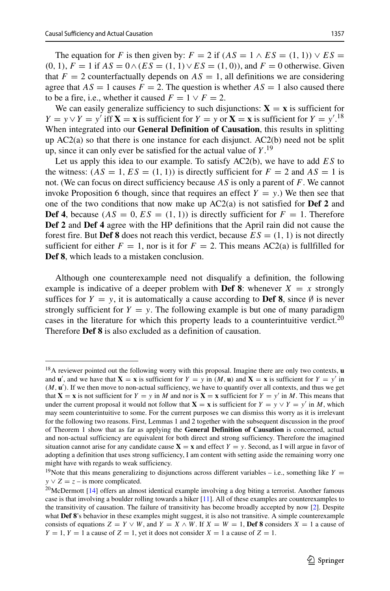The equation for *F* is then given by:  $F = 2$  if  $(AS = 1 \wedge ES = (1, 1)) \vee ES =$  $(0, 1)$ ,  $F = 1$  if  $AS = 0 \land (ES = (1, 1) ∨ ES = (1, 0))$ , and  $F = 0$  otherwise. Given that  $F = 2$  counterfactually depends on  $AS = 1$ , all definitions we are considering agree that  $AS = 1$  causes  $F = 2$ . The question is whether  $AS = 1$  also caused there to be a fire, i.e., whether it caused  $F = 1 \vee F = 2$ .

We can easily generalize sufficiency to such disjunctions:  $X = x$  is sufficient for  $Y = y \lor Y = y'$  iff  $X = x$  is sufficient for  $Y = y$  or  $X = x$  is sufficient for  $Y = y'^{18}$  $Y = y'^{18}$  $Y = y'^{18}$ When integrated into our **General Definition of Causation**, this results in splitting up AC2(a) so that there is one instance for each disjunct. AC2(b) need not be split up, since it can only ever be satisfied for the actual value of *Y* . [19](#page-16-1)

Let us apply this idea to our example. To satisfy AC2(b), we have to add *ES* to the witness:  $(AS = 1, ES = (1, 1))$  is directly sufficient for  $F = 2$  and  $AS = 1$  is not. (We can focus on direct sufficiency because *AS* is only a parent of *F*. We cannot invoke Proposition 6 though, since that requires an effect  $Y = y$ .) We then see that one of the two conditions that now make up AC2(a) is not satisfied for **Def 2** and **Def 4**, because  $(AS = 0, ES = (1, 1))$  is directly sufficient for  $F = 1$ . Therefore **Def 2** and **Def 4** agree with the HP definitions that the April rain did not cause the forest fire. But **Def 8** does not reach this verdict, because  $ES = (1, 1)$  is not directly sufficient for either  $F = 1$ , nor is it for  $F = 2$ . This means AC2(a) is fullfilled for **Def 8**, which leads to a mistaken conclusion.

Although one counterexample need not disqualify a definition, the following example is indicative of a deeper problem with **Def 8**: whenever  $X = x$  strongly suffices for  $Y = y$ , it is automatically a cause according to **Def 8**, since  $\emptyset$  is never strongly sufficient for  $Y = y$ . The following example is but one of many paradigm cases in the literature for which this property leads to a counterintuitive verdict.<sup>20</sup> Therefore **Def 8** is also excluded as a definition of causation.

<span id="page-16-0"></span><sup>18</sup>A reviewer pointed out the following worry with this proposal. Imagine there are only two contexts, **u** and  $\mathbf{u}'$ , and we have that  $\mathbf{X} = \mathbf{x}$  is sufficient for  $Y = y$  in  $(M, \mathbf{u})$  and  $\mathbf{X} = \mathbf{x}$  is sufficient for  $Y = y'$  in (*M*, **u**'). If we then move to non-actual sufficiency, we have to quantify over all contexts, and thus we get that  $X = x$  is not sufficient for  $Y = y$  in *M* and nor is  $X = x$  sufficient for  $Y = y'$  in *M*. This means that under the current proposal it would not follow that  $X = x$  is sufficient for  $Y = y \lor Y = y'$  in *M*, which may seem counterintuitive to some. For the current purposes we can dismiss this worry as it is irrelevant for the following two reasons. First, Lemmas 1 and 2 together with the subsequent discussion in the proof of Theorem 1 show that as far as applying the **General Definition of Causation** is concerned, actual and non-actual sufficiency are equivalent for both direct and strong sufficiency. Therefore the imagined situation cannot arise for any candidate cause  $X = x$  and effect  $Y = y$ . Second, as I will argue in favor of adopting a definition that uses strong sufficiency, I am content with setting aside the remaining worry one might have with regards to weak sufficiency.

<span id="page-16-1"></span><sup>&</sup>lt;sup>19</sup>Note that this means generalizing to disjunctions across different variables – i.e., something like *Y* =  $y \vee Z = z$  – is more complicated.

<span id="page-16-2"></span><sup>&</sup>lt;sup>20</sup> McDermott [\[14\]](#page-33-10) offers an almost identical example involving a dog biting a terrorist. Another famous case is that involving a boulder rolling towards a hiker [\[11\]](#page-33-5). All of these examples are counterexamples to the transitivity of causation. The failure of transitivity has become broadly accepted by now [\[2\]](#page-32-8). Despite what **Def 8**'s behavior in these examples might suggest, it is also not transitive. A simple counterexample consists of equations  $Z = Y \vee W$ , and  $Y = X \wedge W$ . If  $X = W = 1$ , **Def 8** considers  $X = 1$  a cause of  $Y = 1$ ,  $Y = 1$  a cause of  $Z = 1$ , yet it does not consider  $X = 1$  a cause of  $Z = 1$ .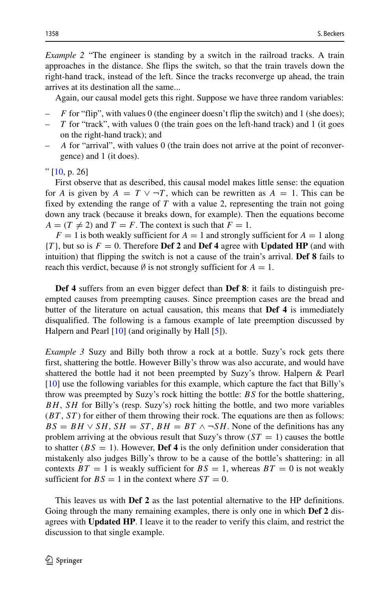*Example 2* "The engineer is standing by a switch in the railroad tracks. A train approaches in the distance. She flips the switch, so that the train travels down the right-hand track, instead of the left. Since the tracks reconverge up ahead, the train arrives at its destination all the same...

Again, our causal model gets this right. Suppose we have three random variables:

- *F* for "flip", with values 0 (the engineer doesn't flip the switch) and 1 (she does);
- *T* for "track", with values 0 (the train goes on the left-hand track) and 1 (it goes on the right-hand track); and
- *A* for "arrival", with values 0 (the train does not arrive at the point of reconvergence) and 1 (it does).

" [\[10,](#page-32-1) p. 26]

First observe that as described, this causal model makes little sense: the equation for *A* is given by  $A = T \vee T$ , which can be rewritten as  $A = 1$ . This can be fixed by extending the range of *T* with a value 2, representing the train not going down any track (because it breaks down, for example). Then the equations become  $A = (T \neq 2)$  and  $T = F$ . The context is such that  $F = 1$ .

 $F = 1$  is both weakly sufficient for  $A = 1$  and strongly sufficient for  $A = 1$  along  ${T}$ , but so is  $F = 0$ . Therefore **Def 2** and **Def 4** agree with **Updated HP** (and with intuition) that flipping the switch is not a cause of the train's arrival. **Def 8** fails to reach this verdict, because  $\emptyset$  is not strongly sufficient for  $A = 1$ .

**Def 4** suffers from an even bigger defect than **Def 8**: it fails to distinguish preempted causes from preempting causes. Since preemption cases are the bread and butter of the literature on actual causation, this means that **Def 4** is immediately disqualified. The following is a famous example of late preemption discussed by Halpern and Pearl [\[10\]](#page-32-1) (and originally by Hall [\[5\]](#page-32-9)).

*Example 3* Suzy and Billy both throw a rock at a bottle. Suzy's rock gets there first, shattering the bottle. However Billy's throw was also accurate, and would have shattered the bottle had it not been preempted by Suzy's throw. Halpern & Pearl [\[10\]](#page-32-1) use the following variables for this example, which capture the fact that Billy's throw was preempted by Suzy's rock hitting the bottle: *BS* for the bottle shattering, *BH*, *SH* for Billy's (resp. Suzy's) rock hitting the bottle, and two more variables (*BT* , *ST* ) for either of them throwing their rock. The equations are then as follows:  $BS = BH \vee SH$ ,  $SH = ST$ ,  $BH = BT \wedge \neg SH$ . None of the definitions has any problem arriving at the obvious result that Suzy's throw  $(ST = 1)$  causes the bottle to shatter  $(BS = 1)$ . However, **Def 4** is the only definition under consideration that mistakenly also judges Billy's throw to be a cause of the bottle's shattering: in all contexts  $BT = 1$  is weakly sufficient for  $BS = 1$ , whereas  $BT = 0$  is not weakly sufficient for  $BS = 1$  in the context where  $ST = 0$ .

This leaves us with **Def 2** as the last potential alternative to the HP definitions. Going through the many remaining examples, there is only one in which **Def 2** disagrees with **Updated HP**. I leave it to the reader to verify this claim, and restrict the discussion to that single example.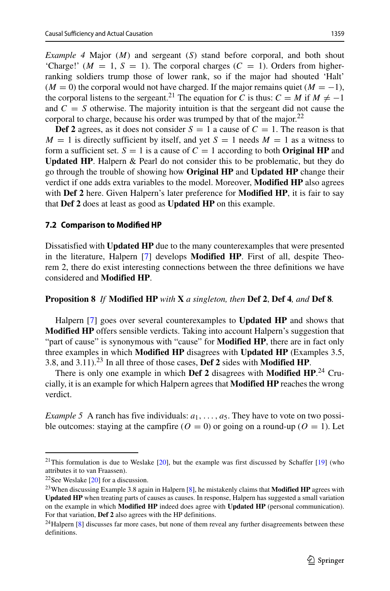*Example 4* Major (*M*) and sergeant (*S*) stand before corporal, and both shout 'Charge!'  $(M = 1, S = 1)$ . The corporal charges  $(C = 1)$ . Orders from higherranking soldiers trump those of lower rank, so if the major had shouted 'Halt'  $(M = 0)$  the corporal would not have charged. If the major remains quiet  $(M = -1)$ , the corporal listens to the sergeant.<sup>21</sup> The equation for *C* is thus:  $C = M$  if  $M \neq -1$ and  $C = S$  otherwise. The majority intuition is that the sergeant did not cause the corporal to charge, because his order was trumped by that of the major. $22$ 

**Def 2** agrees, as it does not consider  $S = 1$  a cause of  $C = 1$ . The reason is that  $M = 1$  is directly sufficient by itself, and yet  $S = 1$  needs  $M = 1$  as a witness to form a sufficient set.  $S = 1$  is a cause of  $C = 1$  according to both **Original HP** and **Updated HP**. Halpern & Pearl do not consider this to be problematic, but they do go through the trouble of showing how **Original HP** and **Updated HP** change their verdict if one adds extra variables to the model. Moreover, **Modified HP** also agrees with **Def 2** here. Given Halpern's later preference for **Modified HP**, it is fair to say that **Def 2** does at least as good as **Updated HP** on this example.

#### <span id="page-18-4"></span>**7.2 Comparison to Modified HP**

Dissatisfied with **Updated HP** due to the many counterexamples that were presented in the literature, Halpern [\[7\]](#page-32-0) develops **Modified HP**. First of all, despite Theorem 2, there do exist interesting connections between the three definitions we have considered and **Modified HP**.

#### **Proposition 8** *If* **Modified HP** *with* **X** *a singleton, then* **Def 2**, **Def 4***, and* **Def 8***.*

Halpern [\[7\]](#page-32-0) goes over several counterexamples to **Updated HP** and shows that **Modified HP** offers sensible verdicts. Taking into account Halpern's suggestion that "part of cause" is synonymous with "cause" for **Modified HP**, there are in fact only three examples in which **Modified HP** disagrees with **Updated HP** (Examples 3.5, 3.8, and 3.11).[23](#page-18-2) In all three of those cases, **Def 2** sides with **Modified HP**.

There is only one example in which **Def 2** disagrees with **Modified HP**. [24](#page-18-3) Crucially, it is an example for which Halpern agrees that **Modified HP** reaches the wrong verdict.

*Example 5* A ranch has five individuals:  $a_1, \ldots, a_5$ . They have to vote on two possible outcomes: staying at the campfire  $(O = 0)$  or going on a round-up  $(O = 1)$ . Let

<span id="page-18-0"></span><sup>&</sup>lt;sup>21</sup>This formulation is due to Weslake  $[20]$ , but the example was first discussed by Schaffer  $[19]$  (who attributes it to van Fraassen).

 $22$ See Weslake [\[20\]](#page-33-7) for a discussion.

<span id="page-18-2"></span><span id="page-18-1"></span><sup>23</sup>When discussing Example 3.8 again in Halpern [\[8\]](#page-32-4), he mistakenly claims that **Modified HP** agrees with **Updated HP** when treating parts of causes as causes. In response, Halpern has suggested a small variation on the example in which **Modified HP** indeed does agree with **Updated HP** (personal communication). For that variation, **Def 2** also agrees with the HP definitions.

<span id="page-18-3"></span> $24$ Halpern [\[8\]](#page-32-4) discusses far more cases, but none of them reveal any further disagreements between these definitions.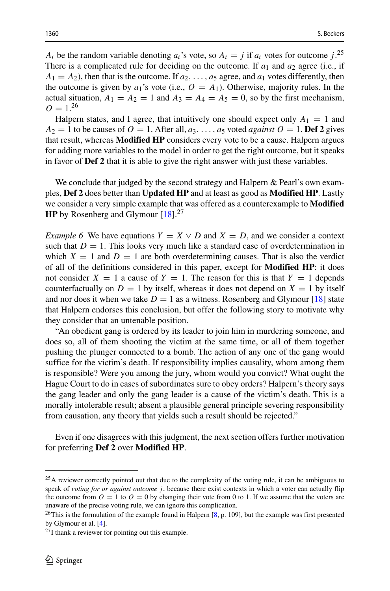*A<sub>i</sub>* be the random variable denoting  $a_i$ 's vote, so  $A_i = j$  if  $a_i$  votes for outcome  $j$ .<sup>[25](#page-19-0)</sup> There is a complicated rule for deciding on the outcome. If  $a_1$  and  $a_2$  agree (i.e., if  $A_1 = A_2$ ), then that is the outcome. If  $a_2, \ldots, a_5$  agree, and  $a_1$  votes differently, then the outcome is given by  $a_1$ 's vote (i.e.,  $O = A_1$ ). Otherwise, majority rules. In the actual situation,  $A_1 = A_2 = 1$  and  $A_3 = A_4 = A_5 = 0$ , so by the first mechanism,  $Q = 1^{26}$  $Q = 1^{26}$  $Q = 1^{26}$ 

Halpern states, and I agree, that intuitively one should expect only  $A_1 = 1$  and  $A_2 = 1$  to be causes of  $O = 1$ . After all,  $a_3, \ldots, a_5$  voted *against*  $O = 1$ . **Def 2** gives that result, whereas **Modified HP** considers every vote to be a cause. Halpern argues for adding more variables to the model in order to get the right outcome, but it speaks in favor of **Def 2** that it is able to give the right answer with just these variables.

We conclude that judged by the second strategy and Halpern & Pearl's own examples, **Def 2** does better than **Updated HP** and at least as good as **Modified HP**. Lastly we consider a very simple example that was offered as a counterexample to **Modified HP** by Rosenberg and Glymour [\[18\]](#page-33-12).<sup>[27](#page-19-2)</sup>

*Example 6* We have equations  $Y = X \vee D$  and  $X = D$ , and we consider a context such that  $D = 1$ . This looks very much like a standard case of overdetermination in which  $X = 1$  and  $D = 1$  are both overdetermining causes. That is also the verdict of all of the definitions considered in this paper, except for **Modified HP**: it does not consider  $X = 1$  a cause of  $Y = 1$ . The reason for this is that  $Y = 1$  depends counterfactually on  $D = 1$  by itself, whereas it does not depend on  $X = 1$  by itself and nor does it when we take  $D = 1$  as a witness. Rosenberg and Glymour [\[18\]](#page-33-12) state that Halpern endorses this conclusion, but offer the following story to motivate why they consider that an untenable position.

"An obedient gang is ordered by its leader to join him in murdering someone, and does so, all of them shooting the victim at the same time, or all of them together pushing the plunger connected to a bomb. The action of any one of the gang would suffice for the victim's death. If responsibility implies causality, whom among them is responsible? Were you among the jury, whom would you convict? What ought the Hague Court to do in cases of subordinates sure to obey orders? Halpern's theory says the gang leader and only the gang leader is a cause of the victim's death. This is a morally intolerable result; absent a plausible general principle severing responsibility from causation, any theory that yields such a result should be rejected."

Even if one disagrees with this judgment, the next section offers further motivation for preferring **Def 2** over **Modified HP**.

<span id="page-19-0"></span><sup>&</sup>lt;sup>25</sup>A reviewer correctly pointed out that due to the complexity of the voting rule, it can be ambiguous to speak of *voting for or against outcome j*, because there exist contexts in which a voter can actually flip the outcome from  $O = 1$  to  $O = 0$  by changing their vote from 0 to 1. If we assume that the voters are unaware of the precise voting rule, we can ignore this complication.

<span id="page-19-1"></span> $^{26}$ This is the formulation of the example found in Halpern [\[8,](#page-32-4) p. 109], but the example was first presented by Glymour et al. [\[4\]](#page-32-3).

<span id="page-19-2"></span> $^{27}$ I thank a reviewer for pointing out this example.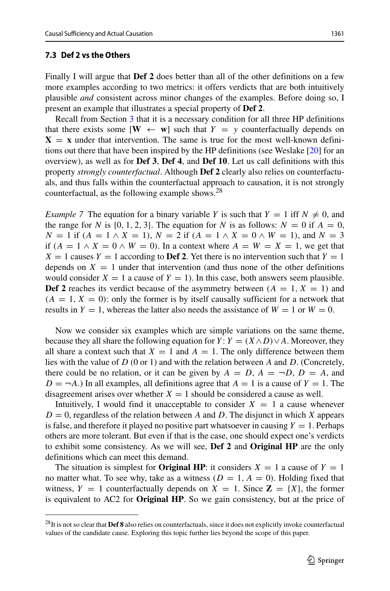### **7.3 Def 2 vs the Others**

Finally I will argue that **Def 2** does better than all of the other definitions on a few more examples according to two metrics: it offers verdicts that are both intuitively plausible *and* consistent across minor changes of the examples. Before doing so, I present an example that illustrates a special property of **Def 2**.

Recall from Section [3](#page-4-0) that it is a necessary condition for all three HP definitions that there exists some  $[\mathbf{W} \leftarrow \mathbf{w}]$  such that  $Y = y$  counterfactually depends on  $X = x$  under that intervention. The same is true for the most well-known definitions out there that have been inspired by the HP definitions (see Weslake [\[20\]](#page-33-7) for an overview), as well as for **Def 3**, **Def 4**, and **Def 10**. Let us call definitions with this property *strongly counterfactual*. Although **Def 2** clearly also relies on counterfactuals, and thus falls within the counterfactual approach to causation, it is not strongly counterfactual, as the following example shows[.28](#page-20-0)

*Example 7* The equation for a binary variable *Y* is such that  $Y = 1$  iff  $N \neq 0$ , and the range for *N* is  $\{0, 1, 2, 3\}$ . The equation for *N* is as follows:  $N = 0$  if  $A = 0$ , *N* = 1 if  $(A = 1 \land X = 1)$ ,  $N = 2$  if  $(A = 1 \land X = 0 \land W = 1)$ , and  $N = 3$ if  $(A = 1 \land X = 0 \land W = 0)$ . In a context where  $A = W = X = 1$ , we get that  $X = 1$  causes  $Y = 1$  according to **Def 2**. Yet there is no intervention such that  $Y = 1$ depends on  $X = 1$  under that intervention (and thus none of the other definitions would consider  $X = 1$  a cause of  $Y = 1$ ). In this case, both answers seem plausible. **Def 2** reaches its verdict because of the asymmetry between  $(A = 1, X = 1)$  and  $(A = 1, X = 0)$ : only the former is by itself causally sufficient for a network that results in  $Y = 1$ , whereas the latter also needs the assistance of  $W = 1$  or  $W = 0$ .

Now we consider six examples which are simple variations on the same theme, because they all share the following equation for *Y* :  $Y = (X \wedge D) \vee A$ . Moreover, they all share a context such that  $X = 1$  and  $A = 1$ . The only difference between them lies with the value of *D* (0 or 1) and with the relation between *A* and *D*. (Concretely, there could be no relation, or it can be given by  $A = D$ ,  $A = \neg D$ ,  $D = A$ , and  $D = \neg A$ .) In all examples, all definitions agree that  $A = 1$  is a cause of  $Y = 1$ . The disagreement arises over whether  $X = 1$  should be considered a cause as well.

Intuitively, I would find it unacceptable to consider  $X = 1$  a cause whenever  $D = 0$ , regardless of the relation between *A* and *D*. The disjunct in which *X* appears is false, and therefore it played no positive part whatsoever in causing  $Y = 1$ . Perhaps others are more tolerant. But even if that is the case, one should expect one's verdicts to exhibit some consistency. As we will see, **Def 2** and **Original HP** are the only definitions which can meet this demand.

The situation is simplest for **Original HP**: it considers  $X = 1$  a cause of  $Y = 1$ no matter what. To see why, take as a witness  $(D = 1, A = 0)$ . Holding fixed that witness,  $Y = 1$  counterfactually depends on  $X = 1$ . Since  $\mathbf{Z} = \{X\}$ , the former is equivalent to AC2 for **Original HP**. So we gain consistency, but at the price of

<span id="page-20-0"></span><sup>28</sup>It is not so clear that **Def 8** also relies on counterfactuals, since it does not explicitly invoke counterfactual values of the candidate cause. Exploring this topic further lies beyond the scope of this paper.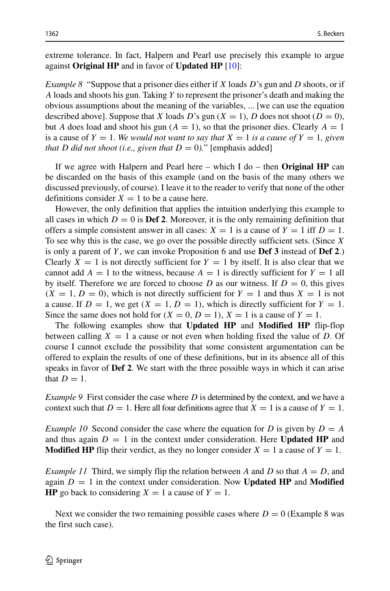extreme tolerance. In fact, Halpern and Pearl use precisely this example to argue against **Original HP** and in favor of **Updated HP** [\[10\]](#page-32-1):

*Example 8* "Suppose that a prisoner dies either if *X* loads *D*'s gun and *D* shoots, or if *A* loads and shoots his gun. Taking *Y* to represent the prisoner's death and making the obvious assumptions about the meaning of the variables, ... [we can use the equation described above]. Suppose that *X* loads *D*'s gun (*X* = 1), *D* does not shoot (*D* = 0), but *A* does load and shoot his gun  $(A = 1)$ , so that the prisoner dies. Clearly  $A = 1$ is a cause of  $Y = 1$ . We would not want to say that  $X = 1$  is a cause of  $Y = 1$ , given *that D* did not shoot (i.e., given that  $D = 0$ )." [emphasis added]

If we agree with Halpern and Pearl here – which I do – then **Original HP** can be discarded on the basis of this example (and on the basis of the many others we discussed previously, of course). I leave it to the reader to verify that none of the other definitions consider  $X = 1$  to be a cause here.

However, the only definition that applies the intuition underlying this example to all cases in which  $D = 0$  is **Def 2**. Moreover, it is the only remaining definition that offers a simple consistent answer in all cases:  $X = 1$  is a cause of  $Y = 1$  iff  $D = 1$ . To see why this is the case, we go over the possible directly sufficient sets. (Since *X* is only a parent of *Y* , we can invoke Proposition 6 and use **Def 3** instead of **Def 2**.) Clearly  $X = 1$  is not directly sufficient for  $Y = 1$  by itself. It is also clear that we cannot add  $A = 1$  to the witness, because  $A = 1$  is directly sufficient for  $Y = 1$  all by itself. Therefore we are forced to choose *D* as our witness. If  $D = 0$ , this gives  $(X = 1, D = 0)$ , which is not directly sufficient for  $Y = 1$  and thus  $X = 1$  is not a cause. If  $D = 1$ , we get  $(X = 1, D = 1)$ , which is directly sufficient for  $Y = 1$ . Since the same does not hold for  $(X = 0, D = 1), X = 1$  is a cause of  $Y = 1$ .

The following examples show that **Updated HP** and **Modified HP** flip-flop between calling  $X = 1$  a cause or not even when holding fixed the value of D. Of course I cannot exclude the possibility that some consistent argumentation can be offered to explain the results of one of these definitions, but in its absence all of this speaks in favor of **Def 2**. We start with the three possible ways in which it can arise that  $D = 1$ .

*Example 9* First consider the case where *D* is determined by the context, and we have a context such that  $D = 1$ . Here all four definitions agree that  $X = 1$  is a cause of  $Y = 1$ .

*Example 10* Second consider the case where the equation for *D* is given by  $D = A$ and thus again  $D = 1$  in the context under consideration. Here **Updated HP** and **Modified HP** flip their verdict, as they no longer consider  $X = 1$  a cause of  $Y = 1$ .

*Example 11* Third, we simply flip the relation between *A* and *D* so that *A* = *D*, and again  $D = 1$  in the context under consideration. Now **Updated HP** and **Modified HP** go back to considering  $X = 1$  a cause of  $Y = 1$ .

Next we consider the two remaining possible cases where  $D = 0$  (Example 8 was the first such case).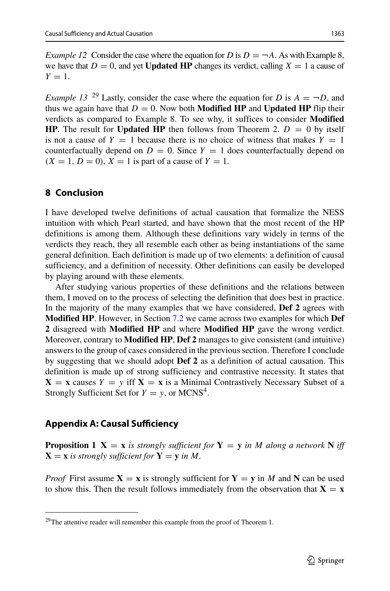*Example 12* Consider the case where the equation for *D* is  $D = \neg A$ . As with Example 8, we have that  $D = 0$ , and yet **Updated HP** changes its verdict, calling  $X = 1$  a cause of  $Y=1$ .

*Example 13* <sup>[29](#page-22-1)</sup> Lastly, consider the case where the equation for *D* is  $A = \neg D$ , and thus we again have that  $D = 0$ . Now both **Modified HP** and **Updated HP** flip their verdicts as compared to Example 8. To see why, it suffices to consider **Modified HP**. The result for **Updated HP** then follows from Theorem 2.  $D = 0$  by itself is not a cause of  $Y = 1$  because there is no choice of witness that makes  $Y = 1$ counterfactually depend on  $D = 0$ . Since  $Y = 1$  does counterfactually depend on  $(X = 1, D = 0)$ ,  $X = 1$  is part of a cause of  $Y = 1$ .

# **8 Conclusion**

I have developed twelve definitions of actual causation that formalize the NESS intuition with which Pearl started, and have shown that the most recent of the HP definitions is among them. Although these definitions vary widely in terms of the verdicts they reach, they all resemble each other as being instantiations of the same general definition. Each definition is made up of two elements: a definition of causal sufficiency, and a definition of necessity. Other definitions can easily be developed by playing around with these elements.

After studying various properties of these definitions and the relations between them, I moved on to the process of selecting the definition that does best in practice. In the majority of the many examples that we have considered, **Def 2** agrees with **Modified HP**. However, in Section [7.2](#page-18-4) we came across two examples for which **Def 2** disagreed with **Modified HP** and where **Modified HP** gave the wrong verdict. Moreover, contrary to **Modified HP**, **Def 2** manages to give consistent (and intuitive) answers to the group of cases considered in the previous section. Therefore I conclude by suggesting that we should adopt **Def 2** as a definition of actual causation. This definition is made up of strong sufficiency and contrastive necessity. It states that  $X = x$  causes  $Y = y$  iff  $X = x$  is a Minimal Contrastively Necessary Subset of a Strongly Sufficient Set for  $Y = y$ , or MCNS<sup>4</sup>.

## <span id="page-22-0"></span>**Appendix A: Causal Sufficiency**

**Proposition 1 X** = **x** *is strongly sufficient for* **Y** = **y** *in M along a network* **N** *iff*  $X = x$  *is strongly sufficient for*  $Y = y$  *in M.* 

*Proof* First assume  $X = x$  is strongly sufficient for  $Y = y$  in *M* and N can be used to show this. Then the result follows immediately from the observation that  $X = x$ 

<span id="page-22-1"></span> $29$ The attentive reader will remember this example from the proof of Theorem 1.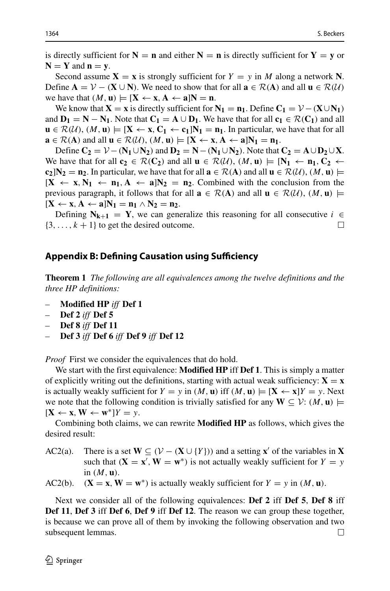is directly sufficient for  $N = n$  and either  $N = n$  is directly sufficient for  $Y = y$  or  $N = Y$  and  $n = y$ .

Second assume  $X = x$  is strongly sufficient for  $Y = y$  in *M* along a network N. Define  $A = V - (X \cup N)$ . We need to show that for all  $a \in \mathcal{R}(A)$  and all  $u \in \mathcal{R}(\mathcal{U})$ we have that  $(M, u) \models [X \leftarrow x, A \leftarrow a]N = n$ .

We know that  $X = x$  is directly sufficient for  $N_1 = n_1$ . Define  $C_1 = V - (X \cup N_1)$ and  $D_1 = N - N_1$ . Note that  $C_1 = A \cup D_1$ . We have that for all  $c_1 \in \mathcal{R}(C_1)$  and all  $\mathbf{u} \in \mathcal{R}(\mathcal{U})$ ,  $(M, \mathbf{u}) \models [\mathbf{X} \leftarrow \mathbf{x}, \mathbf{C_1} \leftarrow \mathbf{c_1}]\mathbf{N_1} = \mathbf{n_1}$ . In particular, we have that for all **a** ∈  $\mathcal{R}(A)$  and all **u** ∈  $\mathcal{R}(\mathcal{U})$ ,  $(M, \mathbf{u}) \models [\mathbf{X} \leftarrow \mathbf{x}, \mathbf{A} \leftarrow \mathbf{a}] \mathbf{N}_1 = \mathbf{n}_1$ .

**Define C<sub>2</sub> =**  $V - (N_1 \cup N_2)$  **and**  $D_2 = N - (N_1 \cup N_2)$ **. Note that**  $C_2 = A \cup D_2 \cup X$ **.** We have that for all  $c_2 \in \mathcal{R}(C_2)$  and all  $\mathbf{u} \in \mathcal{R}(\mathcal{U})$ ,  $(M, \mathbf{u}) \models [\mathbf{N}_1 \leftarrow \mathbf{n}_1, \mathbf{C}_2 \leftarrow \mathbf{u}_2]$  $c_2$ ] $N_2 = n_2$ . In particular, we have that for all  $\mathbf{a} \in \mathcal{R}(\mathbf{A})$  and all  $\mathbf{u} \in \mathcal{R}(\mathcal{U})$ ,  $(M, \mathbf{u}) \models$  $[X \leftarrow x, N_1 \leftarrow n_1, A \leftarrow a]N_2 = n_2$ . Combined with the conclusion from the previous paragraph, it follows that for all  $\mathbf{a} \in \mathcal{R}(\mathbf{A})$  and all  $\mathbf{u} \in \mathcal{R}(\mathcal{U})$ ,  $(M, \mathbf{u}) \models$  $[X \leftarrow x, A \leftarrow a]$ **N**<sub>1</sub> = **n**<sub>1</sub>  $\wedge$  **N**<sub>2</sub> = **n**<sub>2</sub>.

Defining **N<sub>k+1</sub>** = **Y**, we can generalize this reasoning for all consecutive *i* ∈ ∴ ∴ *k* + 1} to get the desired outcome.  $\{3, \ldots, k+1\}$  to get the desired outcome.

# <span id="page-23-0"></span>**Appendix B: Defining Causation using Sufficiency**

**Theorem 1** *The following are all equivalences among the twelve definitions and the three HP definitions:*

- *–* **Modified HP** *iff* **Def 1**
- *–* **Def 2** *iff* **Def 5**
- *–* **Def 8** *iff* **Def 11**
- *–* **Def 3** *iff* **Def 6** *iff* **Def 9** *iff* **Def 12**

*Proof* First we consider the equivalences that do hold.

We start with the first equivalence: **Modified HP** iff **Def 1**. This is simply a matter of explicitly writing out the definitions, starting with actual weak sufficiency:  $\mathbf{X} = \mathbf{x}$ is actually weakly sufficient for  $Y = y$  in  $(M, \mathbf{u})$  iff  $(M, \mathbf{u}) \models [\mathbf{X} \leftarrow \mathbf{x}]Y = y$ . Next we note that the following condition is trivially satisfied for any  $W \subseteq V$ :  $(M, u) \models$  $[X \leftarrow x, W \leftarrow w^* | Y = y$ .

Combining both claims, we can rewrite **Modified HP** as follows, which gives the desired result:

AC2(a). There is a set  $\mathbf{W} \subseteq (\mathcal{V} - (\mathbf{X} \cup \{Y\}))$  and a setting **x**<sup>'</sup> of the variables in **X** such that  $(\mathbf{X} = \mathbf{x}', \mathbf{W} = \mathbf{w}^*)$  is not actually weakly sufficient for  $Y = y$ in *(M,* **u***)*.

AC2(b).  $(\mathbf{X} = \mathbf{x}, \mathbf{W} = \mathbf{w}^*)$  is actually weakly sufficient for  $Y = y$  in  $(M, \mathbf{u})$ .

Next we consider all of the following equivalences: **Def 2** iff **Def 5**, **Def 8** iff **Def 11**, **Def 3** iff **Def 6**, **Def 9** iff **Def 12**. The reason we can group these together, is because we can prove all of them by invoking the following observation and two  $\Box$ subsequent lemmas.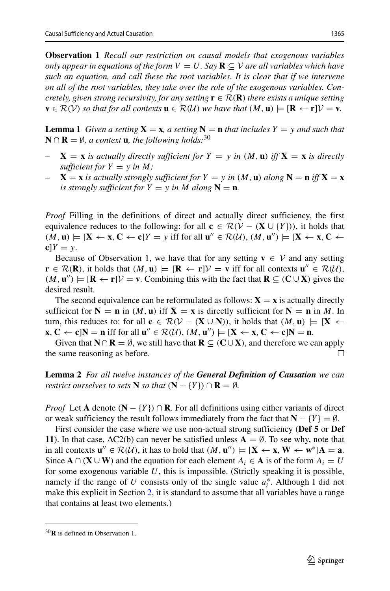**Observation 1** *Recall our restriction on causal models that exogenous variables only appear in equations of the form*  $V = U$ *. Say*  $\mathbf{R} \subseteq V$  *are all variables which have such an equation, and call these the root variables. It is clear that if we intervene on all of the root variables, they take over the role of the exogenous variables. Concretely, given strong recursivity, for any setting*  $\mathbf{r} \in \mathcal{R}(\mathbf{R})$  *there exists a unique setting* **v** ∈  $\mathcal{R}(V)$  *so that for all contexts* **u** ∈  $\mathcal{R}(U)$  *we have that*  $(M, \mathbf{u})$   $\models$   $[\mathbf{R} \leftarrow \mathbf{r}]$  $V = \mathbf{v}$ *.* 

**Lemma 1** *Given a setting*  $X = x$ *, a setting*  $N = n$  *that includes*  $Y = y$  *and such that* **N** ∩ **R** =  $\emptyset$ *, a context* **u***, the following holds*:<sup>[30](#page-24-0)</sup>

- $X = x$  *is actually directly sufficient for*  $Y = y$  *in*  $(M, u)$  *iff*  $X = x$  *is directly sufficient for*  $Y = y$  *in*  $M$ *;*
- $X = x$  *is actually strongly sufficient for*  $Y = y$  *in*  $(M, u)$  *along*  $N = n$  *iff*  $X = x$ *is strongly sufficient for*  $Y = y$  *in*  $M$  *along*  $N = n$ *.*

*Proof* Filling in the definitions of direct and actually direct sufficiency, the first equivalence reduces to the following: for all  $\mathbf{c} \in \mathcal{R}(\mathcal{V} - (\mathbf{X} \cup \{Y\}))$ , it holds that  $(M, \mathbf{u}) \models [\mathbf{X} \leftarrow \mathbf{x}, \mathbf{C} \leftarrow \mathbf{c}]Y = y$  iff for all  $\mathbf{u}'' \in \mathcal{R}(\mathcal{U}), (M, \mathbf{u}'') \models [\mathbf{X} \leftarrow \mathbf{x}, \mathbf{C} \leftarrow \mathbf{c}]Y = y$  $cY = y$ .

Because of Observation 1, we have that for any setting **v**  $\in$  V and any setting **r** ∈  $\mathcal{R}(\mathbf{R})$ , it holds that  $(M, \mathbf{u})$   $\models [\mathbf{R} \leftarrow \mathbf{r}] \mathcal{V} = \mathbf{v}$  iff for all contexts  $\mathbf{u}'' \in \mathcal{R}(\mathcal{U})$ ,  $(M, \mathbf{u}'')$   $\models$  [**R** ← **r**] $V = \mathbf{v}$ . Combining this with the fact that **R** ⊆ *(***C** ∪ **X***)* gives the desired result.

The second equivalence can be reformulated as follows:  $\mathbf{X} = \mathbf{x}$  is actually directly sufficient for  $N = n$  in  $(M, u)$  iff  $X = x$  is directly sufficient for  $N = n$  in M. In turn, this reduces to: for all  $\mathbf{c} \in \mathcal{R}(\mathcal{V} - (\mathbf{X} \cup \mathbf{N}))$ , it holds that  $(M, \mathbf{u}) \models [\mathbf{X} \leftarrow \mathbf{u}]$  $\mathbf{x}, \mathbf{C} \leftarrow \mathbf{c} | \mathbf{N} = \mathbf{n} \text{ iff for all } \mathbf{u}^{\prime\prime} \in \mathcal{R}(\mathcal{U}), (\mathcal{M}, \mathbf{u}^{\prime\prime}) \models [\mathbf{X} \leftarrow \mathbf{x}, \mathbf{C} \leftarrow \mathbf{c}] \mathbf{N} = \mathbf{n}.$ 

Given that **N** ∩ **R** = Ø, we still have that **R** ⊆  $(C \cup X)$ , and therefore we can apply as ame reasoning as before the same reasoning as before.

**Lemma 2** *For all twelve instances of the General Definition of Causation we can restrict ourselves to sets* **N** *so that*  $(N - \{Y\}) \cap \mathbf{R} = \emptyset$ *.* 

*Proof* Let **A** denote  $(N - \{Y\}) \cap \mathbf{R}$ . For all definitions using either variants of direct or weak sufficiency the result follows immediately from the fact that  $N - {Y} = \emptyset$ .

First consider the case where we use non-actual strong sufficiency (**Def 5** or **Def 11**). In that case, AC2(b) can never be satisfied unless  $A = \emptyset$ . To see why, note that in all contexts  $\mathbf{u}'' \in \mathcal{R}(\mathcal{U})$ , it has to hold that  $(M, \mathbf{u}'') \models [\mathbf{X} \leftarrow \mathbf{x}, \mathbf{W} \leftarrow \mathbf{w}^*]\mathbf{A} = \mathbf{a}$ . Since  $\mathbf{A} \cap (\mathbf{X} \cup \mathbf{W})$  and the equation for each element  $A_i \in \mathbf{A}$  is of the form  $A_i = U$ for some exogenous variable *U*, this is impossible. (Strictly speaking it is possible, namely if the range of *U* consists only of the single value  $a_i^*$ . Although I did not make this explicit in Section [2,](#page-2-0) it is standard to assume that all variables have a range that contains at least two elements.)

<span id="page-24-0"></span><sup>30</sup>**R** is defined in Observation 1.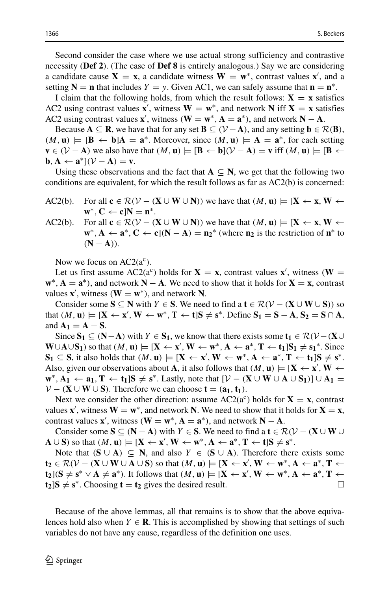Second consider the case where we use actual strong sufficiency and contrastive necessity (**Def 2**). (The case of **Def 8** is entirely analogous.) Say we are considering a candidate cause  $X = x$ , a candidate witness  $W = w^*$ , contrast values  $x'$ , and a setting  $N = n$  that includes  $Y = y$ . Given AC1, we can safely assume that  $n = n^*$ .

I claim that the following holds, from which the result follows:  $X = x$  satisfies AC2 using contrast values **x**', witness  $W = w^*$ , and network **N** iff **X** = **x** satisfies AC2 using contrast values **x**', witness  $(\mathbf{W} = \mathbf{w}^*, \mathbf{A} = \mathbf{a}^*)$ , and network  $\mathbf{N} - \mathbf{A}$ .

Because  $A \subseteq \mathbb{R}$ , we have that for any set  $B \subseteq (\mathcal{V} - A)$ , and any setting  $b \in \mathcal{R}(B)$ ,  $(M, \mathbf{u}) \models [\mathbf{B} \leftarrow \mathbf{b}]$ **A** =  $\mathbf{a}^*$ . Moreover, since  $(M, \mathbf{u}) \models \mathbf{A} = \mathbf{a}^*$ , for each setting  $\mathbf{v} \in (\mathcal{V} - \mathbf{A})$  we also have that  $(M, \mathbf{u}) \models [\mathbf{B} \leftarrow \mathbf{b}](\mathcal{V} - \mathbf{A}) = \mathbf{v}$  iff  $(M, \mathbf{u}) \models [\mathbf{B} \leftarrow \mathbf{b}]$ **b***,* **A** ← **a**<sup>\*</sup>]( $V - A$ ) = **v**.

Using these observations and the fact that  $A \subseteq N$ , we get that the following two conditions are equivalent, for which the result follows as far as AC2(b) is concerned:

- AC2(b). For all  $\mathbf{c} \in \mathcal{R}(\mathcal{V} (\mathbf{X} \cup \mathbf{W} \cup \mathbf{N}))$  we have that  $(M, \mathbf{u}) \models [\mathbf{X} \leftarrow \mathbf{x}, \mathbf{W} \leftarrow \mathbf{A}]$  $\mathbf{w}^*$ ,  $\mathbf{C} \leftarrow \mathbf{c} | \mathbf{N} = \mathbf{n}^*$ .
- AC2(b). For all  $\mathbf{c} \in \mathcal{R}(\mathcal{V} (\mathbf{X} \cup \mathbf{W} \cup \mathbf{N}))$  we have that  $(M, \mathbf{u}) \models [\mathbf{X} \leftarrow \mathbf{x}, \mathbf{W} \leftarrow \mathbf{A}]$ **w**<sup>∗</sup>, **A** ← **a**<sup>\*</sup>, **C** ← **c**](**N** − **A**) = **n**<sub>2</sub><sup>\*</sup> (where **n**<sub>2</sub> is the restriction of **n**<sup>\*</sup> to  $(N - A)$ ).

Now we focus on  $AC2(a^c)$ .

Let us first assume AC2( $a^c$ ) holds for **X** = **x**, contrast values **x**<sup>'</sup>, witness (**W** =  $\mathbf{w}^*$ ,  $\mathbf{A} = \mathbf{a}^*$ ), and network  $\mathbf{N} - \mathbf{A}$ . We need to show that it holds for  $\mathbf{X} = \mathbf{x}$ , contrast values  $\mathbf{x}'$ , witness  $(\mathbf{W} = \mathbf{w}^*)$ , and network **N**.

Consider some  $S \subseteq N$  with  $Y \in S$ . We need to find a  $t \in \mathcal{R}(\mathcal{V} - (\mathbf{X} \cup \mathbf{W} \cup S))$  so  $\text{that } (M, \mathbf{u}) \models [\mathbf{X} \leftarrow \mathbf{x}', \mathbf{W} \leftarrow \mathbf{w}^*, \mathbf{T} \leftarrow \mathbf{t}] \mathbf{S} \neq \mathbf{s}^*.$  Define  $\mathbf{S}_1 = \mathbf{S} - \mathbf{A}, \mathbf{S}_2 = \mathbf{S} \cap \mathbf{A},$ and  $A_1 = A - S$ .

Since  $S_1$  ⊆  $(N-A)$  with  $Y \in S_1$ , we know that there exists some  $t_1 \in \mathcal{R}(\mathcal{V} - (X \cup$ **W**∪**A**∪**S**<sub>1</sub>) so that  $(M, \mathbf{u}) \models [\mathbf{X} \leftarrow \mathbf{x}', \mathbf{W} \leftarrow \mathbf{w}^*, \mathbf{A} \leftarrow \mathbf{a}^*, \mathbf{T} \leftarrow \mathbf{t}_1] \mathbf{S}_1 \neq \mathbf{s}_1^*$ . Since **S**<sub>1</sub> ⊆ **S**, it also holds that  $(M, \mathbf{u})$   $\models$   $[\mathbf{X} \leftarrow \mathbf{x}', \mathbf{W} \leftarrow \mathbf{w}^*, \mathbf{A} \leftarrow \mathbf{a}^*, \mathbf{T} \leftarrow \mathbf{t}_1]$  $\mathbf{S} \neq \mathbf{s}^*$ . Also, given our observations about **A**, it also follows that  $(M, \mathbf{u}) \models [\mathbf{X} \leftarrow \mathbf{x}', \mathbf{W} \leftarrow \mathbf{A}]$ **w**<sup>∗</sup>, **A**<sub>1</sub> ← **a**<sub>1</sub>, **T** ← **t**<sub>1</sub>]**S**  $\neq$  **s**<sup>\*</sup>. Lastly, note that  $[\mathcal{V} - (\mathbf{X} \cup \mathbf{W} \cup \mathbf{A} \cup \mathbf{S}_1)] \cup \mathbf{A}_1$  =  $V - (X \cup W \cup S)$ . Therefore we can choose **t** =  $(a_1, t_1)$ .

Next we consider the other direction: assume  $AC2(a^c)$  holds for  $X = x$ , contrast values **x**', witness  $W = w^*$ , and network **N**. We need to show that it holds for  $X = x$ , contrast values **x**<sup>'</sup>, witness  $(\mathbf{W} = \mathbf{w}^*, \mathbf{A} = \mathbf{a}^*)$ , and network  $\mathbf{N} - \mathbf{A}$ .

Consider some  $S \subseteq (N - A)$  with  $Y \in S$ . We need to find a  $t \in \mathcal{R}(\mathcal{V} - (X \cup W \cup$  $\mathbf{A} \cup \mathbf{S}$  so that  $(M, \mathbf{u}) \models [\mathbf{X} \leftarrow \mathbf{x}', \mathbf{W} \leftarrow \mathbf{w}^*, \mathbf{A} \leftarrow \mathbf{a}^*, \mathbf{T} \leftarrow \mathbf{t}] \mathbf{S} \neq \mathbf{s}^*.$ 

Note that  $(S \cup A) \subseteq N$ , and also  $Y \in (S \cup A)$ . Therefore there exists some **t**<sub>2</sub> ∈  $\mathcal{R}(V - (\mathbf{X} \cup \mathbf{W} \cup \mathbf{A} \cup \mathbf{S})$  so that  $(M, \mathbf{u}) \models [\mathbf{X} \leftarrow \mathbf{x}', \mathbf{W} \leftarrow \mathbf{w}^*, \mathbf{A} \leftarrow \mathbf{a}^*, \mathbf{T} \leftarrow$ **t**<sub>2</sub>] $(\mathbf{S} \neq \mathbf{s}^* \vee \mathbf{A} \neq \mathbf{a}^*)$ . It follows that  $(M, \mathbf{u}) \models [\mathbf{X} \leftarrow \mathbf{x}', \mathbf{W} \leftarrow \mathbf{w}^*, \mathbf{A} \leftarrow \mathbf{a}^*, \mathbf{T} \leftarrow \mathbf{a}^*$  $\mathbf{t}_2$ ]**S**  $\neq$  **s**<sup>\*</sup>. Choosing **t** = **t**<sub>2</sub> gives the desired result.

Because of the above lemmas, all that remains is to show that the above equivalences hold also when  $Y \in \mathbb{R}$ . This is accomplished by showing that settings of such variables do not have any cause, regardless of the definition one uses.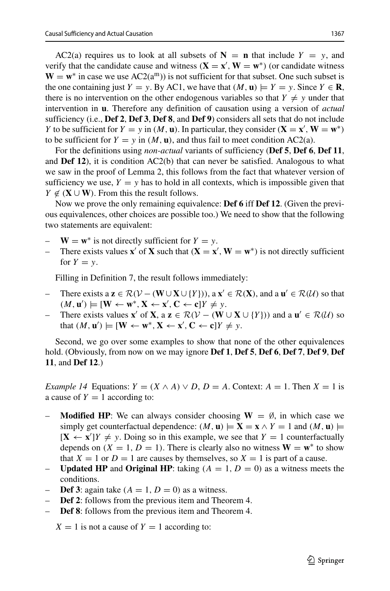AC2(a) requires us to look at all subsets of  $N = n$  that include  $Y = y$ , and verify that the candidate cause and witness  $(X = x', W = w^*)$  (or candidate witness  $W = w^*$  in case we use  $AC2(a^m)$  is not sufficient for that subset. One such subset is the one containing just *Y* = *y*. By AC1, we have that  $(M, \mathbf{u}) \models Y = y$ . Since *Y*  $\in \mathbf{R}$ , there is no intervention on the other endogenous variables so that  $Y \neq y$  under that intervention in **u**. Therefore any definition of causation using a version of *actual* sufficiency (i.e., **Def 2**, **Def 3**, **Def 8**, and **Def 9**) considers all sets that do not include *Y* to be sufficient for *Y* = *y* in *(M,* **u**). In particular, they consider  $(X = x', W = w^*)$ to be sufficient for  $Y = y$  in  $(M, \mathbf{u})$ , and thus fail to meet condition AC2(a).

For the definitions using *non-actual* variants of sufficiency (**Def 5**, **Def 6**, **Def 11**, and **Def 12**), it is condition  $AC2(b)$  that can never be satisfied. Analogous to what we saw in the proof of Lemma 2, this follows from the fact that whatever version of sufficiency we use,  $Y = y$  has to hold in all contexts, which is impossible given that *Y* ∉ ( $X$  ∪ **W**). From this the result follows.

Now we prove the only remaining equivalence: **Def 6** iff **Def 12**. (Given the previous equivalences, other choices are possible too.) We need to show that the following two statements are equivalent:

- $W = w^*$  is not directly sufficient for  $Y = y$ .
- $\blacksquare$  There exists values **x**<sup> $\prime$ </sup> of **X** such that  $(\mathbf{X} = \mathbf{x}', \mathbf{W} = \mathbf{w}^*)$  is not directly sufficient for  $Y = y$ .

Filling in Definition 7, the result follows immediately:

- $\vdash$  There exists a **z** ∈ R( $V (\mathbf{W} \cup \mathbf{X} \cup \{Y\})$ ), a **x**<sup> $\prime$ </sup> ∈ R(**X**), and a **u**<sup> $\prime$ </sup> ∈ R( $\mathcal{U}$ ) so that  $(M, \mathbf{u}') \models [\mathbf{W} \leftarrow \mathbf{w}^*, \mathbf{X} \leftarrow \mathbf{x}', \mathbf{C} \leftarrow \mathbf{c}]Y \neq y.$
- *−* There exists values **x**<sup>'</sup> of **X**, a **z** ∈  $\mathcal{R}(V (\mathbf{W} \cup \mathbf{X} \cup \{Y\}))$  and a **u**<sup>'</sup> ∈  $\mathcal{R}(U)$  so that  $(M, \mathbf{u}') \models [\mathbf{W} \leftarrow \mathbf{w}^*, \mathbf{X} \leftarrow \mathbf{x}', \mathbf{C} \leftarrow \mathbf{c}]Y \neq y$ .

Second, we go over some examples to show that none of the other equivalences hold. (Obviously, from now on we may ignore **Def 1**, **Def 5**, **Def 6**, **Def 7**, **Def 9**, **Def 11**, and **Def 12**.)

*Example 14* Equations:  $Y = (X \wedge A) \vee D$ ,  $D = A$ . Context:  $A = 1$ . Then  $X = 1$  is a cause of  $Y = 1$  according to:

- **Modified HP**: We can always consider choosing  $W = \emptyset$ , in which case we simply get counterfactual dependence:  $(M, \mathbf{u}) \models \mathbf{X} = \mathbf{x} \wedge Y = 1$  and  $(M, \mathbf{u}) \models$  $[\mathbf{X} \leftarrow \mathbf{x}']Y \neq y$ . Doing so in this example, we see that  $Y = 1$  counterfactually depends on  $(X = 1, D = 1)$ . There is clearly also no witness  $W = w^*$  to show that  $X = 1$  or  $D = 1$  are causes by themselves, so  $X = 1$  is part of a cause.
- **Updated HP** and **Original HP**: taking  $(A = 1, D = 0)$  as a witness meets the conditions.
- **Def 3**: again take  $(A = 1, D = 0)$  as a witness.
- **Def 2**: follows from the previous item and Theorem 4.
- **Def 8**: follows from the previous item and Theorem 4.

 $X = 1$  is not a cause of  $Y = 1$  according to: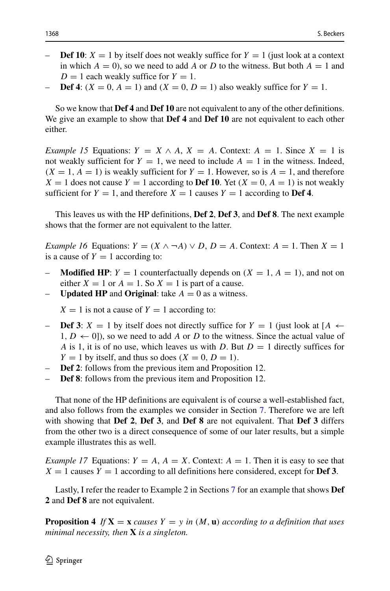- **Def 10**:  $X = 1$  by itself does not weakly suffice for  $Y = 1$  (just look at a context in which  $A = 0$ , so we need to add A or D to the witness. But both  $A = 1$  and  $D = 1$  each weakly suffice for  $Y = 1$ .
- **Def 4**:  $(X = 0, A = 1)$  and  $(X = 0, D = 1)$  also weakly suffice for  $Y = 1$ .

So we know that **Def 4** and **Def 10** are not equivalent to any of the other definitions. We give an example to show that **Def 4** and **Def 10** are not equivalent to each other either.

*Example 15* Equations:  $Y = X \wedge A$ ,  $X = A$ . Context:  $A = 1$ . Since  $X = 1$  is not weakly sufficient for  $Y = 1$ , we need to include  $A = 1$  in the witness. Indeed,  $(X = 1, A = 1)$  is weakly sufficient for  $Y = 1$ . However, so is  $A = 1$ , and therefore  $X = 1$  does not cause  $Y = 1$  according to **Def 10**. Yet  $(X = 0, A = 1)$  is not weakly sufficient for  $Y = 1$ , and therefore  $X = 1$  causes  $Y = 1$  according to **Def 4**.

This leaves us with the HP definitions, **Def 2**, **Def 3**, and **Def 8**. The next example shows that the former are not equivalent to the latter.

*Example 16* Equations:  $Y = (X \land \neg A) \lor D$ ,  $D = A$ . Context:  $A = 1$ . Then  $X = 1$ is a cause of  $Y = 1$  according to:

- **Modified HP:**  $Y = 1$  counterfactually depends on  $(X = 1, A = 1)$ , and not on either  $X = 1$  or  $A = 1$ . So  $X = 1$  is part of a cause.
- **Updated HP** and **Original**: take  $A = 0$  as a witness.

 $X = 1$  is not a cause of  $Y = 1$  according to:

- **Def 3**: *X* = 1 by itself does not directly suffice for *Y* = 1 (just look at [*A* ←  $1, D \leftarrow 0$ ), so we need to add A or D to the witness. Since the actual value of *A* is 1, it is of no use, which leaves us with *D*. But  $D = 1$  directly suffices for  $Y = 1$  by itself, and thus so does  $(X = 0, D = 1)$ .
- **Def 2**: follows from the previous item and Proposition 12.
- **Def 8**: follows from the previous item and Proposition 12.

That none of the HP definitions are equivalent is of course a well-established fact, and also follows from the examples we consider in Section [7.](#page-15-0) Therefore we are left with showing that **Def 2**, **Def 3**, and **Def 8** are not equivalent. That **Def 3** differs from the other two is a direct consequence of some of our later results, but a simple example illustrates this as well.

*Example 17* Equations:  $Y = A$ ,  $A = X$ . Context:  $A = 1$ . Then it is easy to see that  $X = 1$  causes  $Y = 1$  according to all definitions here considered, except for **Def 3**.

Lastly, I refer the reader to Example 2 in Sections [7](#page-15-0) for an example that shows **Def 2** and **Def 8** are not equivalent.

**Proposition 4** If  $X = x$  *causes*  $Y = y$  *in*  $(M, u)$  *according to a definition that uses minimal necessity, then* **X** *is a singleton.*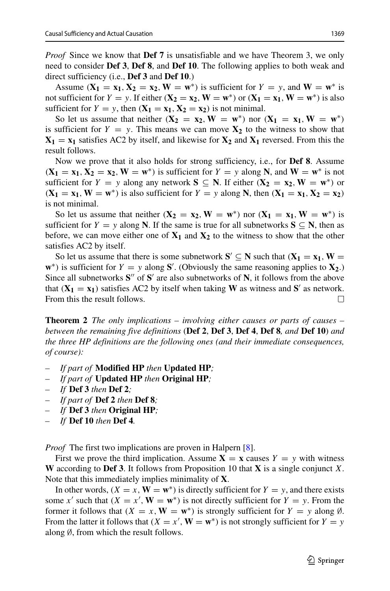*Proof* Since we know that **Def 7** is unsatisfiable and we have Theorem 3, we only need to consider **Def 3**, **Def 8**, and **Def 10**. The following applies to both weak and direct sufficiency (i.e., **Def 3** and **Def 10**.)

Assume  $(X_1 = x_1, X_2 = x_2, W = w^* )$  is sufficient for  $Y = y$ , and  $W = w^*$  is not sufficient for  $Y = y$ . If either  $(\mathbf{X}_2 = \mathbf{x}_2, \mathbf{W} = \mathbf{w}^*)$  or  $(\mathbf{X}_1 = \mathbf{x}_1, \mathbf{W} = \mathbf{w}^*)$  is also sufficient for  $Y = y$ , then  $(X_1 = x_1, X_2 = x_2)$  is not minimal.

So let us assume that neither  $(X_2 = x_2, W = w^*)$  nor  $(X_1 = x_1, W = w^*)$ is sufficient for  $Y = y$ . This means we can move  $X_2$  to the witness to show that  $X_1 = x_1$  satisfies AC2 by itself, and likewise for  $X_2$  and  $X_1$  reversed. From this the result follows.

Now we prove that it also holds for strong sufficiency, i.e., for **Def 8**. Assume  $(X_1 = x_1, X_2 = x_2, W = w^*$  is sufficient for  $Y = y$  along **N**, and  $W = w^*$  is not sufficient for  $Y = y$  along any network  $S \subseteq N$ . If either  $(X_2 = x_2, W = w^*)$  or  $(X_1 = x_1, W = w^* )$  is also sufficient for  $Y = y$  along **N**, then  $(X_1 = x_1, X_2 = x_2)$ is not minimal.

So let us assume that neither  $(X_2 = x_2, W = w^*)$  nor  $(X_1 = x_1, W = w^*)$  is sufficient for  $Y = y$  along **N**. If the same is true for all subnetworks  $S \subseteq N$ , then as before, we can move either one of  $X_1$  and  $X_2$  to the witness to show that the other satisfies AC2 by itself.

So let us assume that there is some subnetwork  $S' \subseteq N$  such that  $(X_1 = x_1, W =$ **w**<sup>\*</sup>) is sufficient for  $Y = y$  along **S**'. (Obviously the same reasoning applies to **X**<sub>2</sub>.) Since all subnetworks S<sup>"</sup> of S<sup>'</sup> are also subnetworks of N, it follows from the above that  $(X_1 = x_1)$  satisfies AC2 by itself when taking **W** as witness and **S**<sup> $\prime$ </sup> as network. From this the result follows.  $\Box$ 

**Theorem 2** *The only implications – involving either causes or parts of causes – between the remaining five definitions* (**Def 2**, **Def 3**, **Def 4**, **Def 8***, and* **Def 10**) *and the three HP definitions are the following ones (and their immediate consequences, of course):*

- *If part of* **Modified HP** *then* **Updated HP***;*
- *If part of* **Updated HP** *then* **Original HP***;*
- *If* **Def 3** *then* **Def 2***;*
- *If part of* **Def 2** *then* **Def 8***;*
- *If* **Def 3** *then* **Original HP***;*
- *If* **Def 10** *then* **Def 4***.*

*Proof* The first two implications are proven in Halpern [\[8\]](#page-32-4).

First we prove the third implication. Assume  $X = x$  causes  $Y = y$  with witness **W** according to **Def 3**. It follows from Proposition 10 that **X** is a single conjunct *X*. Note that this immediately implies minimality of **X**.

In other words,  $(X = x, \mathbf{W} = \mathbf{w}^*)$  is directly sufficient for  $Y = y$ , and there exists some *x'* such that  $(X = x', \mathbf{W} = \mathbf{w}^*)$  is not directly sufficient for  $Y = y$ . From the former it follows that  $(X = x, W = w^*)$  is strongly sufficient for  $Y = y$  along  $\emptyset$ . From the latter it follows that  $(X = x', \mathbf{W} = \mathbf{w}^*)$  is not strongly sufficient for  $Y = y$ along ∅, from which the result follows.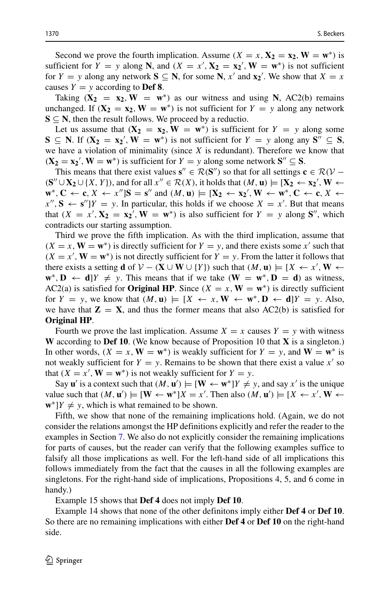Second we prove the fourth implication. Assume  $(X = x, X_2 = x_2, W = w^*)$  is sufficient for  $Y = y$  along **N**, and  $(X = x', \mathbf{X_2} = \mathbf{x_2}', \mathbf{W} = \mathbf{w}^* )$  is not sufficient for  $Y = y$  along any network  $S \subseteq N$ , for some  $N$ ,  $x'$  and  $x_2'$ . We show that  $X = x$ causes  $Y = y$  according to **Def 8**.

Taking  $(X_2 = x_2, W = w^*)$  as our witness and using N, AC2(b) remains unchanged. If  $(X_2 = x_2, W = w^*)$  is not sufficient for  $Y = y$  along any network  $S \subseteq N$ , then the result follows. We proceed by a reductio.

Let us assume that  $(X_2 = x_2, W = w^*)$  is sufficient for  $Y = y$  along some **S** ⊆ **N**. If  $(X_2 = x_2', W = w^*)$  is not sufficient for  $Y = y$  along any  $S'' ⊆ S$ , we have a violation of minimality (since *X* is redundant). Therefore we know that  $(X_2 = x_2', W = w^*)$  is sufficient for  $Y = y$  along some network  $S'' \subseteq S$ .

This means that there exist values  $\mathbf{s}'' \in \mathcal{R}(\mathbf{S}'')$  so that for all settings  $\mathbf{c} \in \mathcal{R}(\mathcal{V} - \mathbf{S}')$  $({\bf S}'' \cup {\bf X}_2 \cup \{X, Y\})$ , and for all  $x'' \in \mathcal{R}(X)$ , it holds that  $(M, \mathbf{u}) \models [{\bf X}_2 \leftarrow {\bf x}_2', {\bf W} \leftarrow {\bf X}_2]$  $\mathbf{w}^*, \mathbf{C} \leftarrow \mathbf{c}, X \leftarrow x''$ ] $\mathbf{S} = \mathbf{s}''$  and  $(M, \mathbf{u}) \models [\mathbf{X}_2 \leftarrow \mathbf{x}_2', \mathbf{W} \leftarrow \mathbf{w}^*, \mathbf{C} \leftarrow \mathbf{c}, X \leftarrow \mathbf{w}^*, \mathbf{C} \leftarrow \mathbf{c}, X \leftarrow \mathbf{w}^*, \mathbf{C} \leftarrow \mathbf{c}, X \leftarrow \mathbf{w}^* \leftarrow \mathbf{w}^* \leftarrow \mathbf{c} \leftarrow \mathbf{c}$  $x''$ ,  $S \leftarrow s''$ ] $Y = y$ . In particular, this holds if we choose  $X = x'$ . But that means that  $(X = x', \mathbf{X_2} = \mathbf{x_2}', \mathbf{W} = \mathbf{w}^*$  is also sufficient for  $Y = y$  along  $\mathbf{S}''$ , which contradicts our starting assumption.

Third we prove the fifth implication. As with the third implication, assume that  $(X = x, \mathbf{W} = \mathbf{w}^*)$  is directly sufficient for  $Y = y$ , and there exists some *x*<sup> $\prime$ </sup> such that  $(X = x', \mathbf{W} = \mathbf{w}^*)$  is not directly sufficient for  $Y = y$ . From the latter it follows that there exists a setting **d** of  $V - (\mathbf{X} \cup \mathbf{W} \cup \{Y\})$  such that  $(M, \mathbf{u}) = [X \leftarrow x', \mathbf{W} \leftarrow$  $\mathbf{w}^* \cdot \mathbf{D} \leftarrow \mathbf{d}$ ]*Y*  $\neq$  *y*. This means that if we take  $(\mathbf{W} = \mathbf{w}^* \cdot \mathbf{D} = \mathbf{d})$  as witness, AC2(a) is satisfied for **Original HP**. Since  $(X = x, W = w^*)$  is directly sufficient for  $Y = y$ , we know that  $(M, u) \models [X \leftarrow x, W \leftarrow w^*, D \leftarrow d]Y = y$ . Also, we have that  $\mathbf{Z} = \mathbf{X}$ , and thus the former means that also AC2(b) is satisfied for **Original HP**.

Fourth we prove the last implication. Assume  $X = x$  causes  $Y = y$  with witness **W** according to **Def 10**. (We know because of Proposition 10 that **X** is a singleton.) In other words,  $(X = x, \mathbf{W} = \mathbf{w}^*)$  is weakly sufficient for  $Y = y$ , and  $\mathbf{W} = \mathbf{w}^*$  is not weakly sufficient for  $Y = y$ . Remains to be shown that there exist a value  $x'$  so that  $(X = x', \mathbf{W} = \mathbf{w}^*)$  is not weakly sufficient for  $Y = y$ .

Say **u**' is a context such that  $(M, \mathbf{u}') \models [\mathbf{W} \leftarrow \mathbf{w}^*]Y \neq y$ , and say *x'* is the unique value such that  $(M, \mathbf{u}') \models [\mathbf{W} \leftarrow \mathbf{w}^*]X = x'$ . Then also  $(M, \mathbf{u}') \models [X \leftarrow x', \mathbf{W} \leftarrow$  $\mathbf{w}^*$ ]*Y*  $\neq$  *y*, which is what remained to be shown.

Fifth, we show that none of the remaining implications hold. (Again, we do not consider the relations amongst the HP definitions explicitly and refer the reader to the examples in Section [7.](#page-15-0) We also do not explicitly consider the remaining implications for parts of causes, but the reader can verify that the following examples suffice to falsify all those implications as well. For the left-hand side of all implications this follows immediately from the fact that the causes in all the following examples are singletons. For the right-hand side of implications, Propositions 4, 5, and 6 come in handy.)

Example 15 shows that **Def 4** does not imply **Def 10**.

Example 14 shows that none of the other definitons imply either **Def 4** or **Def 10**. So there are no remaining implications with either **Def 4** or **Def 10** on the right-hand side.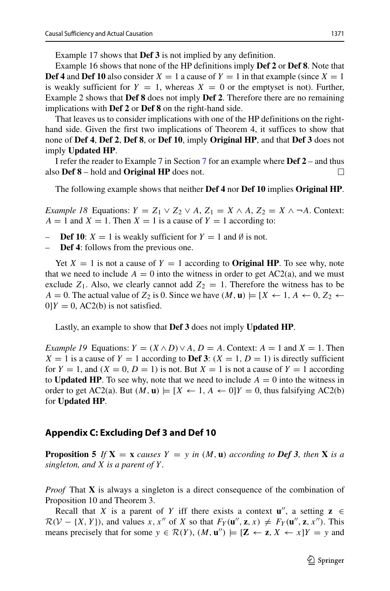Example 17 shows that **Def 3** is not implied by any definition.

Example 16 shows that none of the HP definitions imply **Def 2** or **Def 8**. Note that **Def 4** and **Def 10** also consider  $X = 1$  a cause of  $Y = 1$  in that example (since  $X = 1$ is weakly sufficient for  $Y = 1$ , whereas  $X = 0$  or the emptyset is not). Further, Example 2 shows that **Def 8** does not imply **Def 2**. Therefore there are no remaining implications with **Def 2** or **Def 8** on the right-hand side.

That leaves us to consider implications with one of the HP definitions on the righthand side. Given the first two implications of Theorem 4, it suffices to show that none of **Def 4**, **Def 2**, **Def 8**, or **Def 10**, imply **Original HP**, and that **Def 3** does not imply **Updated HP**.

I refer the reader to Example 7 in Section [7](#page-15-0) for an example where **Def 2** – and thus also **Def 8** – hold and **Original HP** does not.  $\Box$ 

The following example shows that neither **Def 4** nor **Def 10** implies **Original HP**.

*Example 18* Equations:  $Y = Z_1 \vee Z_2 \vee A$ ,  $Z_1 = X \wedge A$ ,  $Z_2 = X \wedge \neg A$ . Context:  $A = 1$  and  $X = 1$ . Then  $X = 1$  is a cause of  $Y = 1$  according to:

- **Def 10**:  $X = 1$  is weakly sufficient for  $Y = 1$  and  $\emptyset$  is not.
- **Def 4**: follows from the previous one.

Yet  $X = 1$  is not a cause of  $Y = 1$  according to **Original HP**. To see why, note that we need to include  $A = 0$  into the witness in order to get AC2(a), and we must exclude  $Z_1$ . Also, we clearly cannot add  $Z_2 = 1$ . Therefore the witness has to be  $A = 0$ . The actual value of  $Z_2$  is 0. Since we have  $(M, \mathbf{u}) \models [X \leftarrow 1, A \leftarrow 0, Z_2 \leftarrow 0]$  $0|Y = 0$ , AC2(b) is not satisfied.

Lastly, an example to show that **Def 3** does not imply **Updated HP**.

*Example 19* Equations:  $Y = (X \wedge D) \vee A$ ,  $D = A$ . Context:  $A = 1$  and  $X = 1$ . Then  $X = 1$  is a cause of  $Y = 1$  according to **Def 3**:  $(X = 1, D = 1)$  is directly sufficient for  $Y = 1$ , and  $(X = 0, D = 1)$  is not. But  $X = 1$  is not a cause of  $Y = 1$  according to **Updated HP**. To see why, note that we need to include  $A = 0$  into the witness in order to get AC2(a). But  $(M, \mathbf{u}) \models [X \leftarrow 1, A \leftarrow 0]Y = 0$ , thus falsifying AC2(b) for **Updated HP**.

## <span id="page-30-0"></span>**Appendix C: Excluding Def 3 and Def 10**

**Proposition 5** *If*  $X = x$  *causes*  $Y = y$  *in*  $(M, u)$  *according to Def 3, then*  $X$  *is a singleton, and X is a parent of Y .*

*Proof* That **X** is always a singleton is a direct consequence of the combination of Proposition 10 and Theorem 3.

Recall that *X* is a parent of *Y* iff there exists a context  $\mathbf{u}''$ , a setting  $\mathbf{z} \in$  $\mathcal{R}(V - \{X, Y\})$ , and values *x*, *x*<sup>"</sup> of *X* so that  $F_Y(\mathbf{u}'', \mathbf{z}, x) \neq F_Y(\mathbf{u}'', \mathbf{z}, x'')$ . This means precisely that for some  $y \in \mathcal{R}(Y)$ ,  $(M, \mathbf{u}'') \models [\mathbf{Z} \leftarrow \mathbf{z}, X \leftarrow x]Y = y$  and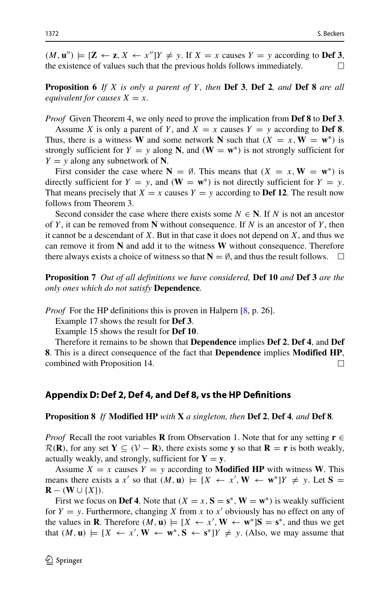$(M, \mathbf{u}'')$   $\models$   $[\mathbf{Z} \leftarrow \mathbf{z}, X \leftarrow x'']Y \neq y$ . If  $X = x$  causes  $Y = y$  according to **Def 3**, the existence of values such that the previous holds follows immediately.

**Proposition 6** *If X is only a parent of Y , then* **Def 3**, **Def 2***, and* **Def 8** *are all equivalent for causes*  $X = x$ *.* 

*Proof* Given Theorem 4, we only need to prove the implication from **Def 8** to **Def 3**.

Assume *X* is only a parent of *Y*, and  $X = x$  causes  $Y = y$  according to **Def 8**. Thus, there is a witness **W** and some network **N** such that  $(X = x, \mathbf{W} = \mathbf{w}^*)$  is strongly sufficient for  $Y = y$  along N, and  $(W = w^*)$  is not strongly sufficient for  $Y = y$  along any subnetwork of **N**.

First consider the case where  $N = \emptyset$ . This means that  $(X = x, W = w^*)$  is directly sufficient for  $Y = y$ , and  $(\mathbf{W} = \mathbf{w}^*)$  is not directly sufficient for  $Y = y$ . That means precisely that  $X = x$  causes  $Y = y$  according to **Def 12**. The result now follows from Theorem 3.

Second consider the case where there exists some  $N \in \mathbb{N}$ . If *N* is not an ancestor of *Y* , it can be removed from **N** without consequence. If *N* is an ancestor of *Y* , then it cannot be a descendant of *X*. But in that case it does not depend on *X*, and thus we can remove it from **N** and add it to the witness **W** without consequence. Therefore there always exists a choice of witness so that  $N = \emptyset$ , and thus the result follows.  $\Box$ 

**Proposition 7** *Out of all definitions we have considered,* **Def 10** *and* **Def 3** *are the only ones which do not satisfy* **Dependence***.*

*Proof* For the HP definitions this is proven in Halpern [\[8,](#page-32-4) p. 26].

Example 17 shows the result for **Def 3**.

Example 15 shows the result for **Def 10**.

Therefore it remains to be shown that **Dependence** implies **Def 2**, **Def 4**, and **Def 8**. This is a direct consequence of the fact that **Dependence** implies **Modified HP**, combined with Proposition 14.  $\Box$ 

#### <span id="page-31-0"></span>**Appendix D: Def 2, Def 4, and Def 8, vs the HP Definitions**

**Proposition 8** *If* **Modified HP** *with* **X** *a singleton, then* **Def 2**, **Def 4***, and* **Def 8***.*

*Proof* Recall the root variables **R** from Observation 1. Note that for any setting **r** ∈  $\mathcal{R}(\mathbf{R})$ , for any set  $\mathbf{Y} \subseteq (\mathcal{V} - \mathbf{R})$ , there exists some y so that  $\mathbf{R} = \mathbf{r}$  is both weakly, actually weakly, and strongly, sufficient for  $Y = y$ .

Assume  $X = x$  causes  $Y = y$  according to **Modified HP** with witness **W**. This means there exists a *x'* so that  $(M, \mathbf{u}) \models [X \leftarrow x', \mathbf{W} \leftarrow \mathbf{w}^*]Y \neq y$ . Let  $\mathbf{S} =$ **R** −  $(W \cup \{X\})$ .

First we focus on **Def 4**. Note that  $(X = x, S = s^*, W = w^*)$  is weakly sufficient for  $Y = y$ . Furthermore, changing *X* from *x* to *x'* obviously has no effect on any of the values in **R**. Therefore  $(M, \mathbf{u}) \models [X \leftarrow x', \mathbf{W} \leftarrow \mathbf{w}^*] \mathbf{S} = \mathbf{s}^*$ , and thus we get that  $(M, \mathbf{u}) \models [X \leftarrow x', \mathbf{W} \leftarrow \mathbf{w}^*, \mathbf{S} \leftarrow \mathbf{s}^*]Y \neq y$ . (Also, we may assume that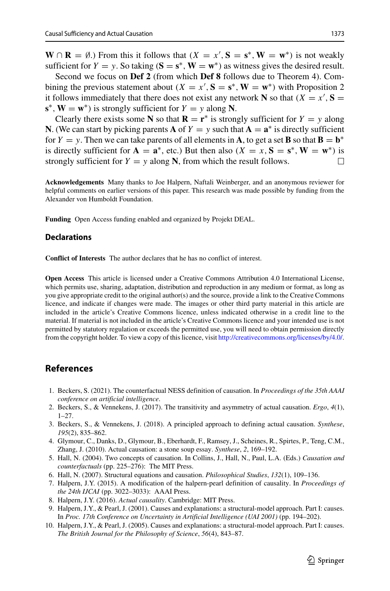**W** ∩ **R** = Ø.) From this it follows that  $(X = x', S = s^*$ , **W** = **w**<sup>∗</sup>) is not weakly sufficient for  $Y = y$ . So taking  $(S = s^*, W = w^*)$  as witness gives the desired result.

Second we focus on **Def 2** (from which **Def 8** follows due to Theorem 4). Combining the previous statement about  $(X = x', S = s^*, W = w^*)$  with Proposition 2 it follows immediately that there does not exist any network **N** so that  $(X = x', S =$  $s^*$ ,  $W = w^*$ ) is strongly sufficient for  $Y = y$  along N.

Clearly there exists some **N** so that  $\mathbf{R} = \mathbf{r}^*$  is strongly sufficient for  $Y = y$  along **N**. (We can start by picking parents **A** of  $Y = y$  such that  $\mathbf{A} = \mathbf{a}^*$  is directly sufficient for  $Y = y$ . Then we can take parents of all elements in **A**, to get a set **B** so that  $\mathbf{B} = \mathbf{b}^*$ is directly sufficient for  $\mathbf{A} = \mathbf{a}^*$ , etc.) But then also  $(X = x, \mathbf{S} = \mathbf{s}^*, \mathbf{W} = \mathbf{w}^*)$  is strongly sufficient for  $Y = y$  along **N**, from which the result follows. strongly sufficient for  $Y = y$  along N, from which the result follows.

**Acknowledgements** Many thanks to Joe Halpern, Naftali Weinberger, and an anonymous reviewer for helpful comments on earlier versions of this paper. This research was made possible by funding from the Alexander von Humboldt Foundation.

**Funding** Open Access funding enabled and organized by Projekt DEAL.

### **Declarations**

**Conflict of Interests** The author declares that he has no conflict of interest.

**Open Access** This article is licensed under a Creative Commons Attribution 4.0 International License, which permits use, sharing, adaptation, distribution and reproduction in any medium or format, as long as you give appropriate credit to the original author(s) and the source, provide a link to the Creative Commons licence, and indicate if changes were made. The images or other third party material in this article are included in the article's Creative Commons licence, unless indicated otherwise in a credit line to the material. If material is not included in the article's Creative Commons licence and your intended use is not permitted by statutory regulation or exceeds the permitted use, you will need to obtain permission directly from the copyright holder. To view a copy of this licence, visit [http://creativecommons.org/licenses/by/4.0/.](http://creativecommons.org/licenses/by/4.0/)

# **References**

- <span id="page-32-5"></span>1. Beckers, S. (2021). The counterfactual NESS definition of causation. In *Proceedings of the 35th AAAI conference on artificial intelligence*.
- <span id="page-32-8"></span>2. Beckers, S., & Vennekens, J. (2017). The transitivity and asymmetry of actual causation. *Ergo*, *4*(1), 1–27.
- <span id="page-32-2"></span>3. Beckers, S., & Vennekens, J. (2018). A principled approach to defining actual causation. *Synthese*, *195*(2), 835–862.
- <span id="page-32-3"></span>4. Glymour, C., Danks, D., Glymour, B., Eberhardt, F., Ramsey, J., Scheines, R., Spirtes, P., Teng, C.M., Zhang, J. (2010). Actual causation: a stone soup essay. *Synthese*, *2*, 169–192.
- <span id="page-32-9"></span>5. Hall, N. (2004). Two concepts of causation. In Collins, J., Hall, N., Paul, L.A. (Eds.) *Causation and counterfactuals* (pp. 225–276): The MIT Press.
- <span id="page-32-6"></span>6. Hall, N. (2007). Structural equations and causation. *Philosophical Studies*, *132*(1), 109–136.
- <span id="page-32-0"></span>7. Halpern, J.Y. (2015). A modification of the halpern-pearl definition of causality. In *Proceedings of the 24th IJCAI* (pp. 3022–3033): AAAI Press.
- <span id="page-32-4"></span>8. Halpern, J.Y. (2016). *Actual causality*. Cambridge: MIT Press.
- <span id="page-32-7"></span>9. Halpern, J.Y., & Pearl, J. (2001). Causes and explanations: a structural-model approach. Part I: causes. In *Proc. 17th Conference on Uncertainty in Artificial Intelligence (UAI 2001)* (pp. 194–202).
- <span id="page-32-1"></span>10. Halpern, J.Y., & Pearl, J. (2005). Causes and explanations: a structural-model approach. Part I: causes. *The British Journal for the Philosophy of Science*, *56*(4), 843–87.